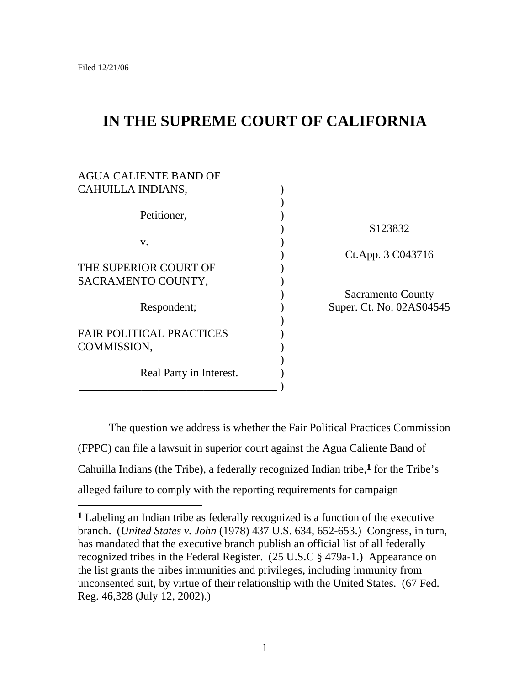# **IN THE SUPREME COURT OF CALIFORNIA**

| <b>AGUA CALIENTE BAND OF</b>    |                          |
|---------------------------------|--------------------------|
| CAHUILLA INDIANS,               |                          |
|                                 |                          |
| Petitioner,                     |                          |
|                                 | S123832                  |
| V.                              |                          |
|                                 | Ct.App. 3 C043716        |
| THE SUPERIOR COURT OF           |                          |
| SACRAMENTO COUNTY,              |                          |
|                                 | <b>Sacramento County</b> |
| Respondent;                     | Super. Ct. No. 02AS04545 |
|                                 |                          |
| <b>FAIR POLITICAL PRACTICES</b> |                          |
| COMMISSION,                     |                          |
|                                 |                          |
| Real Party in Interest.         |                          |
|                                 |                          |

The question we address is whether the Fair Political Practices Commission (FPPC) can file a lawsuit in superior court against the Agua Caliente Band of Cahuilla Indians (the Tribe), a federally recognized Indian tribe,**1** for the Tribe's alleged failure to comply with the reporting requirements for campaign

**<sup>1</sup>** Labeling an Indian tribe as federally recognized is a function of the executive branch. (*United States v. John* (1978) 437 U.S. 634, 652-653.) Congress, in turn, has mandated that the executive branch publish an official list of all federally recognized tribes in the Federal Register. (25 U.S.C § 479a-1.) Appearance on the list grants the tribes immunities and privileges, including immunity from unconsented suit, by virtue of their relationship with the United States. (67 Fed. Reg. 46,328 (July 12, 2002).)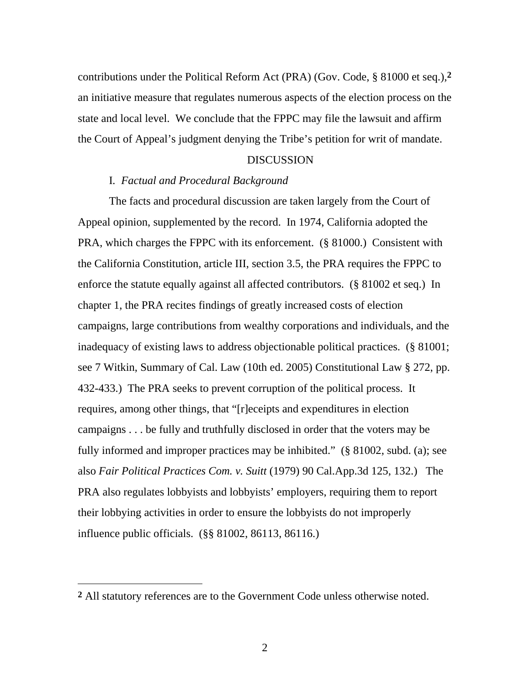contributions under the Political Reform Act (PRA) (Gov. Code, § 81000 et seq.),**2** an initiative measure that regulates numerous aspects of the election process on the state and local level. We conclude that the FPPC may file the lawsuit and affirm the Court of Appeal's judgment denying the Tribe's petition for writ of mandate.

# **DISCUSSION**

# I*. Factual and Procedural Background*

The facts and procedural discussion are taken largely from the Court of Appeal opinion, supplemented by the record. In 1974, California adopted the PRA, which charges the FPPC with its enforcement. (§ 81000.) Consistent with the California Constitution, article III, section 3.5, the PRA requires the FPPC to enforce the statute equally against all affected contributors. (§ 81002 et seq.) In chapter 1, the PRA recites findings of greatly increased costs of election campaigns, large contributions from wealthy corporations and individuals, and the inadequacy of existing laws to address objectionable political practices. (§ 81001; see 7 Witkin, Summary of Cal. Law (10th ed. 2005) Constitutional Law § 272, pp. 432-433.) The PRA seeks to prevent corruption of the political process. It requires, among other things, that "[r]eceipts and expenditures in election campaigns . . . be fully and truthfully disclosed in order that the voters may be fully informed and improper practices may be inhibited." (§ 81002, subd. (a); see also *Fair Political Practices Com. v. Suitt* (1979) 90 Cal.App.3d 125, 132.) The PRA also regulates lobbyists and lobbyists' employers, requiring them to report their lobbying activities in order to ensure the lobbyists do not improperly influence public officials. (§§ 81002, 86113, 86116.)

 $\overline{a}$ 

**<sup>2</sup>** All statutory references are to the Government Code unless otherwise noted.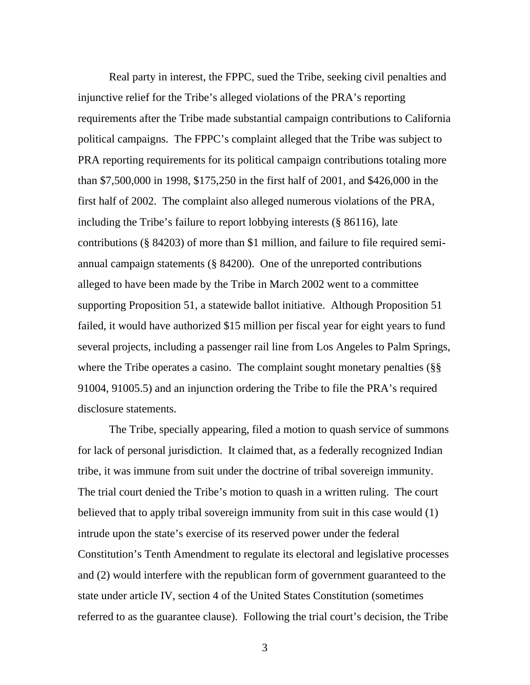Real party in interest, the FPPC, sued the Tribe, seeking civil penalties and injunctive relief for the Tribe's alleged violations of the PRA's reporting requirements after the Tribe made substantial campaign contributions to California political campaigns. The FPPC's complaint alleged that the Tribe was subject to PRA reporting requirements for its political campaign contributions totaling more than \$7,500,000 in 1998, \$175,250 in the first half of 2001, and \$426,000 in the first half of 2002. The complaint also alleged numerous violations of the PRA, including the Tribe's failure to report lobbying interests (§ 86116), late contributions (§ 84203) of more than \$1 million, and failure to file required semiannual campaign statements (§ 84200). One of the unreported contributions alleged to have been made by the Tribe in March 2002 went to a committee supporting Proposition 51, a statewide ballot initiative. Although Proposition 51 failed, it would have authorized \$15 million per fiscal year for eight years to fund several projects, including a passenger rail line from Los Angeles to Palm Springs, where the Tribe operates a casino. The complaint sought monetary penalties ( $\S$ § 91004, 91005.5) and an injunction ordering the Tribe to file the PRA's required disclosure statements.

 The Tribe, specially appearing, filed a motion to quash service of summons for lack of personal jurisdiction. It claimed that, as a federally recognized Indian tribe, it was immune from suit under the doctrine of tribal sovereign immunity. The trial court denied the Tribe's motion to quash in a written ruling. The court believed that to apply tribal sovereign immunity from suit in this case would (1) intrude upon the state's exercise of its reserved power under the federal Constitution's Tenth Amendment to regulate its electoral and legislative processes and (2) would interfere with the republican form of government guaranteed to the state under article IV, section 4 of the United States Constitution (sometimes referred to as the guarantee clause). Following the trial court's decision, the Tribe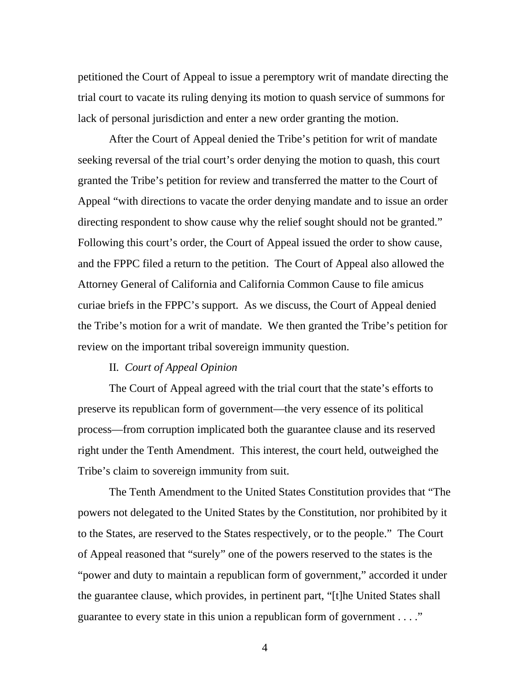petitioned the Court of Appeal to issue a peremptory writ of mandate directing the trial court to vacate its ruling denying its motion to quash service of summons for lack of personal jurisdiction and enter a new order granting the motion.

 After the Court of Appeal denied the Tribe's petition for writ of mandate seeking reversal of the trial court's order denying the motion to quash, this court granted the Tribe's petition for review and transferred the matter to the Court of Appeal "with directions to vacate the order denying mandate and to issue an order directing respondent to show cause why the relief sought should not be granted." Following this court's order, the Court of Appeal issued the order to show cause, and the FPPC filed a return to the petition. The Court of Appeal also allowed the Attorney General of California and California Common Cause to file amicus curiae briefs in the FPPC's support. As we discuss, the Court of Appeal denied the Tribe's motion for a writ of mandate. We then granted the Tribe's petition for review on the important tribal sovereign immunity question.

# II*. Court of Appeal Opinion*

The Court of Appeal agreed with the trial court that the state's efforts to preserve its republican form of government—the very essence of its political process—from corruption implicated both the guarantee clause and its reserved right under the Tenth Amendment. This interest, the court held, outweighed the Tribe's claim to sovereign immunity from suit.

The Tenth Amendment to the United States Constitution provides that "The powers not delegated to the United States by the Constitution, nor prohibited by it to the States, are reserved to the States respectively, or to the people." The Court of Appeal reasoned that "surely" one of the powers reserved to the states is the "power and duty to maintain a republican form of government," accorded it under the guarantee clause, which provides, in pertinent part, "[t]he United States shall guarantee to every state in this union a republican form of government . . . ."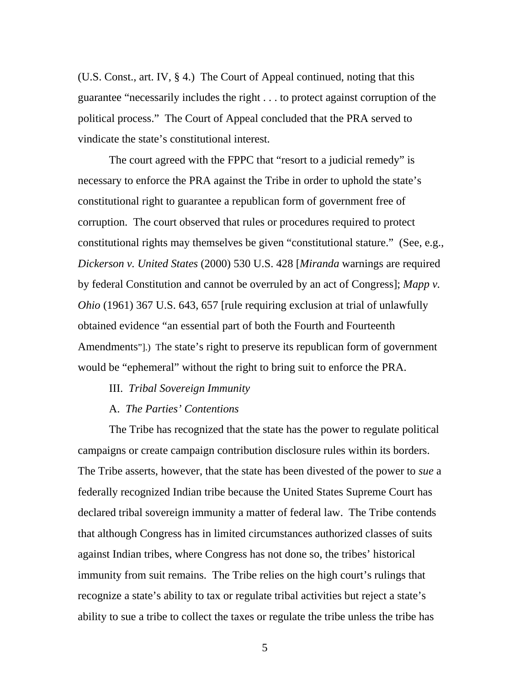(U.S. Const., art. IV, § 4.) The Court of Appeal continued, noting that this guarantee "necessarily includes the right . . . to protect against corruption of the political process." The Court of Appeal concluded that the PRA served to vindicate the state's constitutional interest.

The court agreed with the FPPC that "resort to a judicial remedy" is necessary to enforce the PRA against the Tribe in order to uphold the state's constitutional right to guarantee a republican form of government free of corruption. The court observed that rules or procedures required to protect constitutional rights may themselves be given "constitutional stature." (See, e.g., *Dickerson v. United States* (2000) 530 U.S. 428 [*Miranda* warnings are required by federal Constitution and cannot be overruled by an act of Congress]; *Mapp v. Ohio* (1961) 367 U.S. 643, 657 [rule requiring exclusion at trial of unlawfully obtained evidence "an essential part of both the Fourth and Fourteenth Amendments"].) The state's right to preserve its republican form of government would be "ephemeral" without the right to bring suit to enforce the PRA.

# III. *Tribal Sovereign Immunity*

# A. *The Parties' Contentions*

The Tribe has recognized that the state has the power to regulate political campaigns or create campaign contribution disclosure rules within its borders. The Tribe asserts, however, that the state has been divested of the power to *sue* a federally recognized Indian tribe because the United States Supreme Court has declared tribal sovereign immunity a matter of federal law. The Tribe contends that although Congress has in limited circumstances authorized classes of suits against Indian tribes, where Congress has not done so, the tribes' historical immunity from suit remains. The Tribe relies on the high court's rulings that recognize a state's ability to tax or regulate tribal activities but reject a state's ability to sue a tribe to collect the taxes or regulate the tribe unless the tribe has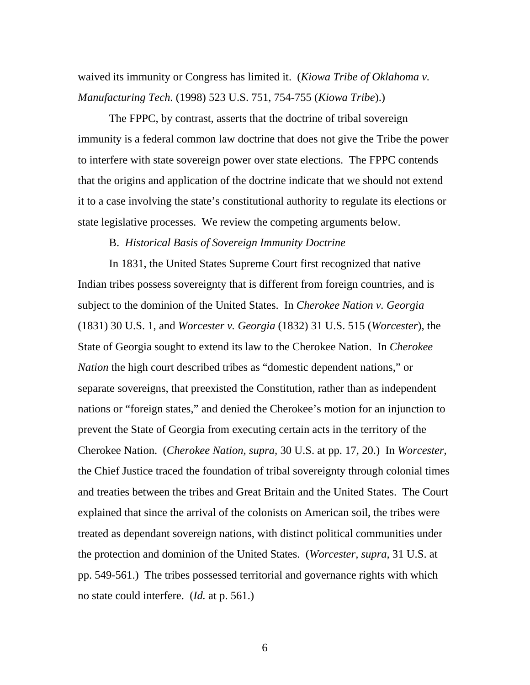waived its immunity or Congress has limited it. (*Kiowa Tribe of Oklahoma v. Manufacturing Tech.* (1998) 523 U.S. 751, 754-755 (*Kiowa Tribe*).)

The FPPC, by contrast, asserts that the doctrine of tribal sovereign immunity is a federal common law doctrine that does not give the Tribe the power to interfere with state sovereign power over state elections. The FPPC contends that the origins and application of the doctrine indicate that we should not extend it to a case involving the state's constitutional authority to regulate its elections or state legislative processes. We review the competing arguments below.

# B. *Historical Basis of Sovereign Immunity Doctrine*

In 1831, the United States Supreme Court first recognized that native Indian tribes possess sovereignty that is different from foreign countries, and is subject to the dominion of the United States. In *Cherokee Nation v. Georgia*  (1831) 30 U.S. 1, and *Worcester v. Georgia* (1832) 31 U.S. 515 (*Worcester*), the State of Georgia sought to extend its law to the Cherokee Nation. In *Cherokee Nation* the high court described tribes as "domestic dependent nations," or separate sovereigns, that preexisted the Constitution, rather than as independent nations or "foreign states," and denied the Cherokee's motion for an injunction to prevent the State of Georgia from executing certain acts in the territory of the Cherokee Nation. (*Cherokee Nation, supra,* 30 U.S. at pp. 17, 20.) In *Worcester*, the Chief Justice traced the foundation of tribal sovereignty through colonial times and treaties between the tribes and Great Britain and the United States. The Court explained that since the arrival of the colonists on American soil, the tribes were treated as dependant sovereign nations, with distinct political communities under the protection and dominion of the United States. (*Worcester, supra,* 31 U.S. at pp. 549-561.) The tribes possessed territorial and governance rights with which no state could interfere. (*Id.* at p. 561.)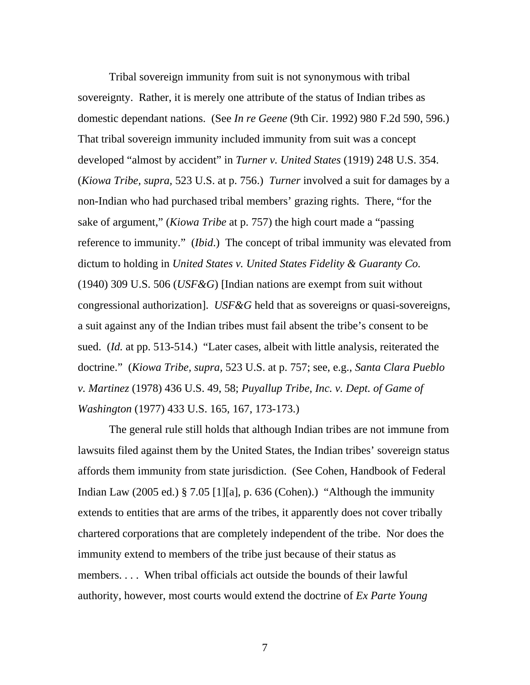Tribal sovereign immunity from suit is not synonymous with tribal sovereignty. Rather, it is merely one attribute of the status of Indian tribes as domestic dependant nations. (See *In re Geene* (9th Cir. 1992) 980 F.2d 590, 596.) That tribal sovereign immunity included immunity from suit was a concept developed "almost by accident" in *Turner v. United States* (1919) 248 U.S. 354. (*Kiowa Tribe, supra,* 523 U.S. at p. 756.) *Turner* involved a suit for damages by a non-Indian who had purchased tribal members' grazing rights. There, "for the sake of argument," (*Kiowa Tribe* at p. 757) the high court made a "passing reference to immunity." (*Ibid*.) The concept of tribal immunity was elevated from dictum to holding in *United States v. United States Fidelity & Guaranty Co.*  (1940) 309 U.S. 506 (*USF&G*) [Indian nations are exempt from suit without congressional authorization]. *USF&G* held that as sovereigns or quasi-sovereigns, a suit against any of the Indian tribes must fail absent the tribe's consent to be sued. (*Id.* at pp. 513-514.) "Later cases, albeit with little analysis, reiterated the doctrine." (*Kiowa Tribe, supra,* 523 U.S. at p. 757; see, e.g., *Santa Clara Pueblo v. Martinez* (1978) 436 U.S. 49, 58; *Puyallup Tribe, Inc. v. Dept. of Game of Washington* (1977) 433 U.S. 165, 167, 173-173.)

The general rule still holds that although Indian tribes are not immune from lawsuits filed against them by the United States, the Indian tribes' sovereign status affords them immunity from state jurisdiction. (See Cohen, Handbook of Federal Indian Law (2005 ed.) § 7.05 [1][a], p. 636 (Cohen).) "Although the immunity extends to entities that are arms of the tribes, it apparently does not cover tribally chartered corporations that are completely independent of the tribe. Nor does the immunity extend to members of the tribe just because of their status as members. . . . When tribal officials act outside the bounds of their lawful authority, however, most courts would extend the doctrine of *Ex Parte Young*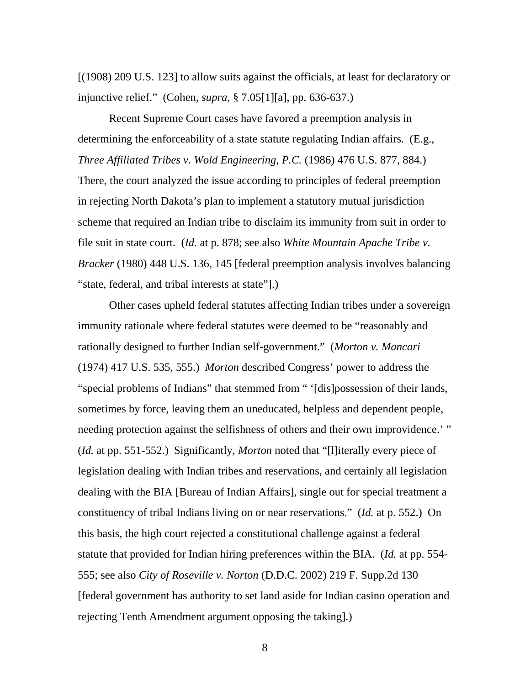[(1908) 209 U.S. 123] to allow suits against the officials, at least for declaratory or injunctive relief." (Cohen, *supra,* § 7.05[1][a], pp. 636-637.)

Recent Supreme Court cases have favored a preemption analysis in determining the enforceability of a state statute regulating Indian affairs. (E.g., *Three Affiliated Tribes v. Wold Engineering, P.C.* (1986) 476 U.S. 877, 884.) There, the court analyzed the issue according to principles of federal preemption in rejecting North Dakota's plan to implement a statutory mutual jurisdiction scheme that required an Indian tribe to disclaim its immunity from suit in order to file suit in state court. (*Id.* at p. 878; see also *White Mountain Apache Tribe v. Bracker* (1980) 448 U.S. 136, 145 [federal preemption analysis involves balancing "state, federal, and tribal interests at state"].)

Other cases upheld federal statutes affecting Indian tribes under a sovereign immunity rationale where federal statutes were deemed to be "reasonably and rationally designed to further Indian self-government." (*Morton v. Mancari*  (1974) 417 U.S. 535, 555.) *Morton* described Congress' power to address the "special problems of Indians" that stemmed from " '[dis]possession of their lands, sometimes by force, leaving them an uneducated, helpless and dependent people, needing protection against the selfishness of others and their own improvidence.' " (*Id.* at pp. 551-552.) Significantly, *Morton* noted that "[l]iterally every piece of legislation dealing with Indian tribes and reservations, and certainly all legislation dealing with the BIA [Bureau of Indian Affairs], single out for special treatment a constituency of tribal Indians living on or near reservations." (*Id.* at p. 552.) On this basis, the high court rejected a constitutional challenge against a federal statute that provided for Indian hiring preferences within the BIA. (*Id.* at pp. 554- 555; see also *City of Roseville v. Norton* (D.D.C. 2002) 219 F. Supp.2d 130 [federal government has authority to set land aside for Indian casino operation and rejecting Tenth Amendment argument opposing the taking].)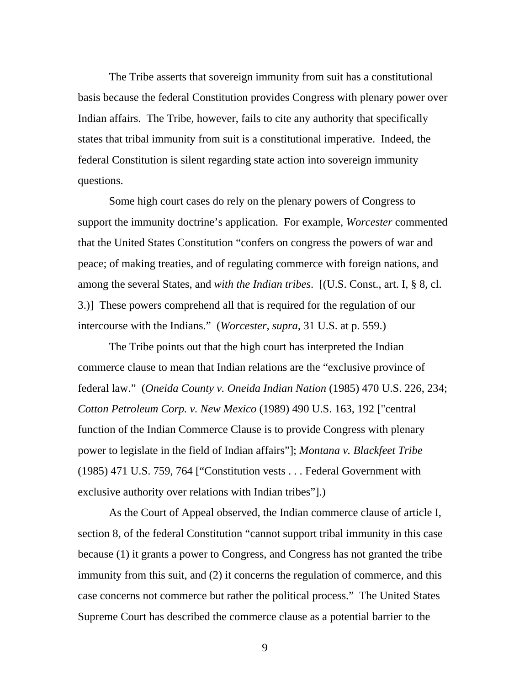The Tribe asserts that sovereign immunity from suit has a constitutional basis because the federal Constitution provides Congress with plenary power over Indian affairs. The Tribe, however, fails to cite any authority that specifically states that tribal immunity from suit is a constitutional imperative. Indeed, the federal Constitution is silent regarding state action into sovereign immunity questions.

Some high court cases do rely on the plenary powers of Congress to support the immunity doctrine's application. For example, *Worcester* commented that the United States Constitution "confers on congress the powers of war and peace; of making treaties, and of regulating commerce with foreign nations, and among the several States, and *with the Indian tribes*. [(U.S. Const., art. I, § 8, cl. 3.)] These powers comprehend all that is required for the regulation of our intercourse with the Indians." (*Worcester, supra,* 31 U.S. at p. 559.)

The Tribe points out that the high court has interpreted the Indian commerce clause to mean that Indian relations are the "exclusive province of federal law." (*Oneida County v. Oneida Indian Nation* (1985) 470 U.S. 226, 234; *Cotton Petroleum Corp. v. New Mexico* (1989) 490 U.S. 163, 192 ["central function of the Indian Commerce Clause is to provide Congress with plenary power to legislate in the field of Indian affairs"]; *Montana v. Blackfeet Tribe*  (1985) 471 U.S. 759, 764 ["Constitution vests . . . Federal Government with exclusive authority over relations with Indian tribes"].)

As the Court of Appeal observed, the Indian commerce clause of article I, section 8, of the federal Constitution "cannot support tribal immunity in this case because (1) it grants a power to Congress, and Congress has not granted the tribe immunity from this suit, and (2) it concerns the regulation of commerce, and this case concerns not commerce but rather the political process." The United States Supreme Court has described the commerce clause as a potential barrier to the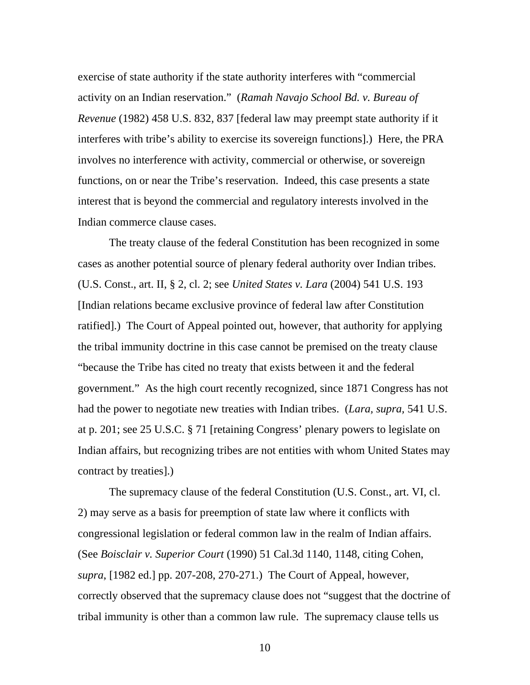exercise of state authority if the state authority interferes with "commercial activity on an Indian reservation." (*Ramah Navajo School Bd. v. Bureau of Revenue* (1982) 458 U.S. 832, 837 [federal law may preempt state authority if it interferes with tribe's ability to exercise its sovereign functions].) Here, the PRA involves no interference with activity, commercial or otherwise, or sovereign functions, on or near the Tribe's reservation. Indeed, this case presents a state interest that is beyond the commercial and regulatory interests involved in the Indian commerce clause cases.

The treaty clause of the federal Constitution has been recognized in some cases as another potential source of plenary federal authority over Indian tribes. (U.S. Const., art. II, § 2, cl. 2; see *United States v. Lara* (2004) 541 U.S. 193 [Indian relations became exclusive province of federal law after Constitution ratified].) The Court of Appeal pointed out, however, that authority for applying the tribal immunity doctrine in this case cannot be premised on the treaty clause "because the Tribe has cited no treaty that exists between it and the federal government." As the high court recently recognized, since 1871 Congress has not had the power to negotiate new treaties with Indian tribes. (*Lara, supra,* 541 U.S. at p. 201; see 25 U.S.C. § 71 [retaining Congress' plenary powers to legislate on Indian affairs, but recognizing tribes are not entities with whom United States may contract by treaties].)

The supremacy clause of the federal Constitution (U.S. Const., art. VI, cl. 2) may serve as a basis for preemption of state law where it conflicts with congressional legislation or federal common law in the realm of Indian affairs. (See *Boisclair v. Superior Court* (1990) 51 Cal.3d 1140, 1148, citing Cohen, *supra*, [1982 ed.] pp. 207-208, 270-271.) The Court of Appeal, however, correctly observed that the supremacy clause does not "suggest that the doctrine of tribal immunity is other than a common law rule. The supremacy clause tells us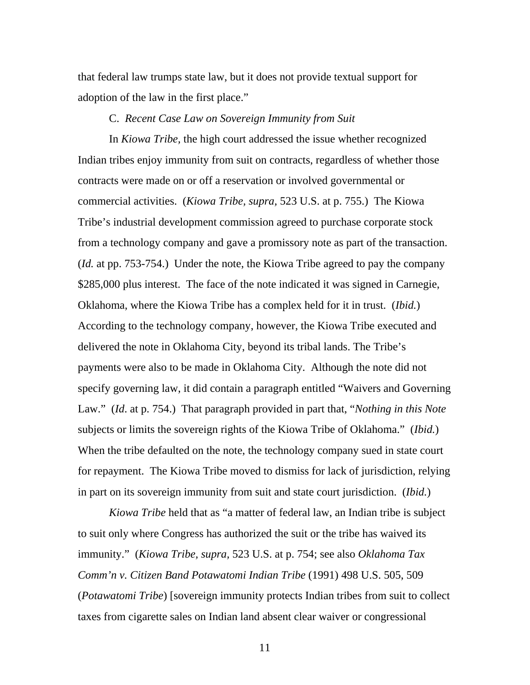that federal law trumps state law, but it does not provide textual support for adoption of the law in the first place."

## C. *Recent Case Law on Sovereign Immunity from Suit*

In *Kiowa Tribe,* the high court addressed the issue whether recognized Indian tribes enjoy immunity from suit on contracts, regardless of whether those contracts were made on or off a reservation or involved governmental or commercial activities. (*Kiowa Tribe, supra,* 523 U.S. at p. 755.) The Kiowa Tribe's industrial development commission agreed to purchase corporate stock from a technology company and gave a promissory note as part of the transaction. (*Id.* at pp. 753-754.) Under the note, the Kiowa Tribe agreed to pay the company \$285,000 plus interest. The face of the note indicated it was signed in Carnegie, Oklahoma, where the Kiowa Tribe has a complex held for it in trust. (*Ibid.*) According to the technology company, however, the Kiowa Tribe executed and delivered the note in Oklahoma City, beyond its tribal lands. The Tribe's payments were also to be made in Oklahoma City. Although the note did not specify governing law, it did contain a paragraph entitled "Waivers and Governing Law." (*Id*. at p. 754.) That paragraph provided in part that, "*Nothing in this Note* subjects or limits the sovereign rights of the Kiowa Tribe of Oklahoma." (*Ibid.*) When the tribe defaulted on the note, the technology company sued in state court for repayment. The Kiowa Tribe moved to dismiss for lack of jurisdiction, relying in part on its sovereign immunity from suit and state court jurisdiction. (*Ibid.*)

*Kiowa Tribe* held that as "a matter of federal law, an Indian tribe is subject to suit only where Congress has authorized the suit or the tribe has waived its immunity." (*Kiowa Tribe, supra,* 523 U.S. at p. 754; see also *Oklahoma Tax Comm'n v. Citizen Band Potawatomi Indian Tribe* (1991) 498 U.S. 505, 509 (*Potawatomi Tribe*) [sovereign immunity protects Indian tribes from suit to collect taxes from cigarette sales on Indian land absent clear waiver or congressional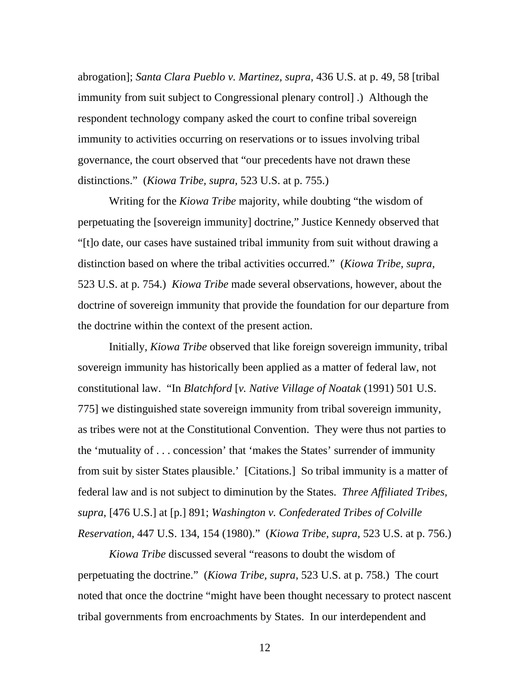abrogation]; *Santa Clara Pueblo v. Martinez, supra,* 436 U.S. at p. 49, 58 [tribal immunity from suit subject to Congressional plenary control] .) Although the respondent technology company asked the court to confine tribal sovereign immunity to activities occurring on reservations or to issues involving tribal governance, the court observed that "our precedents have not drawn these distinctions." (*Kiowa Tribe, supra,* 523 U.S. at p. 755.)

Writing for the *Kiowa Tribe* majority, while doubting "the wisdom of perpetuating the [sovereign immunity] doctrine," Justice Kennedy observed that "[t]o date, our cases have sustained tribal immunity from suit without drawing a distinction based on where the tribal activities occurred." (*Kiowa Tribe, supra,*  523 U.S. at p. 754.) *Kiowa Tribe* made several observations, however, about the doctrine of sovereign immunity that provide the foundation for our departure from the doctrine within the context of the present action.

Initially, *Kiowa Tribe* observed that like foreign sovereign immunity, tribal sovereign immunity has historically been applied as a matter of federal law, not constitutional law. "In *Blatchford* [*v. Native Village of Noatak* (1991) 501 U.S. 775] we distinguished state sovereign immunity from tribal sovereign immunity, as tribes were not at the Constitutional Convention. They were thus not parties to the 'mutuality of . . . concession' that 'makes the States' surrender of immunity from suit by sister States plausible.' [Citations.] So tribal immunity is a matter of federal law and is not subject to diminution by the States. *Three Affiliated Tribes, supra*, [476 U.S.] at [p.] 891; *Washington v. Confederated Tribes of Colville Reservation,* 447 U.S. 134, 154 (1980)." (*Kiowa Tribe, supra,* 523 U.S. at p. 756.)

*Kiowa Tribe* discussed several "reasons to doubt the wisdom of perpetuating the doctrine." (*Kiowa Tribe, supra,* 523 U.S. at p. 758.) The court noted that once the doctrine "might have been thought necessary to protect nascent tribal governments from encroachments by States. In our interdependent and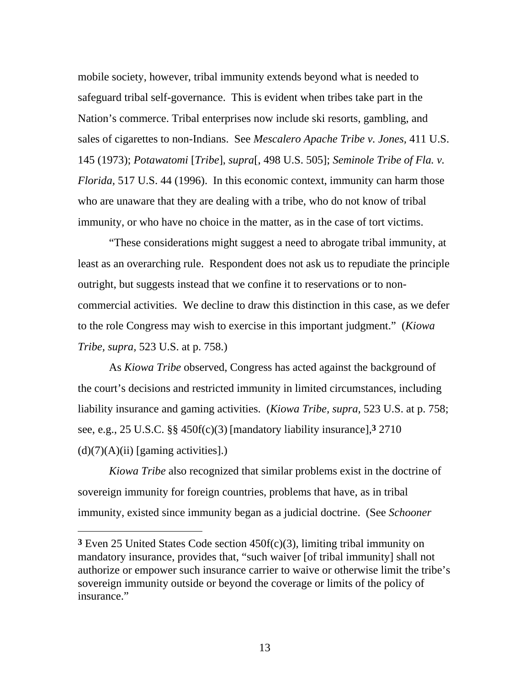mobile society, however, tribal immunity extends beyond what is needed to safeguard tribal self-governance. This is evident when tribes take part in the Nation's commerce. Tribal enterprises now include ski resorts, gambling, and sales of cigarettes to non-Indians. See *Mescalero Apache Tribe v. Jones,* 411 U.S. 145 (1973); *Potawatomi* [*Tribe*], *supra*[, 498 U.S. 505]; *Seminole Tribe of Fla. v. Florida,* 517 U.S. 44 (1996). In this economic context, immunity can harm those who are unaware that they are dealing with a tribe, who do not know of tribal immunity, or who have no choice in the matter, as in the case of tort victims.

"These considerations might suggest a need to abrogate tribal immunity, at least as an overarching rule. Respondent does not ask us to repudiate the principle outright, but suggests instead that we confine it to reservations or to noncommercial activities. We decline to draw this distinction in this case, as we defer to the role Congress may wish to exercise in this important judgment." (*Kiowa Tribe, supra,* 523 U.S. at p. 758.)

As *Kiowa Tribe* observed, Congress has acted against the background of the court's decisions and restricted immunity in limited circumstances, including liability insurance and gaming activities. (*Kiowa Tribe, supra,* 523 U.S. at p. 758; see, e.g., 25 U.S.C. §§ 450f(c)(3) [mandatory liability insurance],**3** 2710  $(d)(7)(A)(ii)$  [gaming activities].)

*Kiowa Tribe* also recognized that similar problems exist in the doctrine of sovereign immunity for foreign countries, problems that have, as in tribal immunity, existed since immunity began as a judicial doctrine. (See *Schooner* 

**<sup>3</sup>** Even 25 United States Code section 450f(c)(3), limiting tribal immunity on mandatory insurance, provides that, "such waiver [of tribal immunity] shall not authorize or empower such insurance carrier to waive or otherwise limit the tribe's sovereign immunity outside or beyond the coverage or limits of the policy of insurance."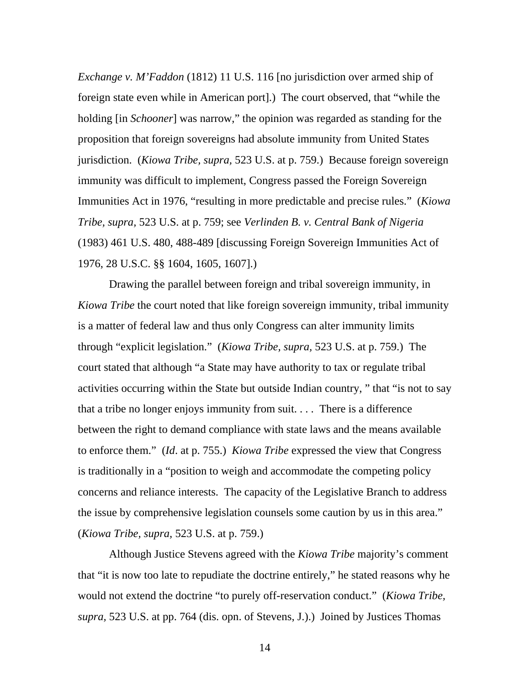*Exchange v. M'Faddon* (1812) 11 U.S. 116 [no jurisdiction over armed ship of foreign state even while in American port].) The court observed, that "while the holding [in *Schooner*] was narrow," the opinion was regarded as standing for the proposition that foreign sovereigns had absolute immunity from United States jurisdiction. (*Kiowa Tribe, supra,* 523 U.S. at p. 759.) Because foreign sovereign immunity was difficult to implement, Congress passed the Foreign Sovereign Immunities Act in 1976, "resulting in more predictable and precise rules." (*Kiowa Tribe, supra,* 523 U.S. at p. 759; see *Verlinden B. v. Central Bank of Nigeria* (1983) 461 U.S. 480, 488-489 [discussing Foreign Sovereign Immunities Act of 1976, 28 U.S.C. §§ 1604, 1605, 1607].)

Drawing the parallel between foreign and tribal sovereign immunity, in *Kiowa Tribe* the court noted that like foreign sovereign immunity, tribal immunity is a matter of federal law and thus only Congress can alter immunity limits through "explicit legislation." (*Kiowa Tribe, supra,* 523 U.S. at p. 759.) The court stated that although "a State may have authority to tax or regulate tribal activities occurring within the State but outside Indian country, " that "is not to say that a tribe no longer enjoys immunity from suit. . . . There is a difference between the right to demand compliance with state laws and the means available to enforce them." (*Id*. at p. 755.) *Kiowa Tribe* expressed the view that Congress is traditionally in a "position to weigh and accommodate the competing policy concerns and reliance interests. The capacity of the Legislative Branch to address the issue by comprehensive legislation counsels some caution by us in this area." (*Kiowa Tribe, supra,* 523 U.S. at p. 759.)

Although Justice Stevens agreed with the *Kiowa Tribe* majority's comment that "it is now too late to repudiate the doctrine entirely," he stated reasons why he would not extend the doctrine "to purely off-reservation conduct." (*Kiowa Tribe, supra,* 523 U.S. at pp. 764 (dis. opn. of Stevens, J.).) Joined by Justices Thomas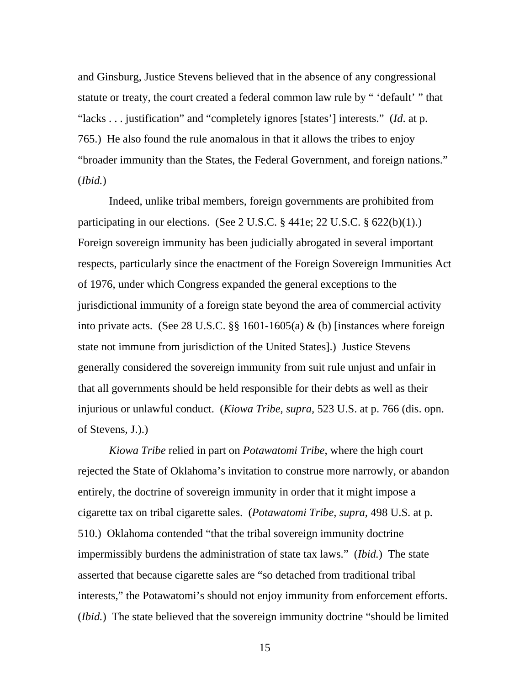and Ginsburg, Justice Stevens believed that in the absence of any congressional statute or treaty, the court created a federal common law rule by " 'default' " that "lacks . . . justification" and "completely ignores [states'] interests." (*Id*. at p. 765.) He also found the rule anomalous in that it allows the tribes to enjoy "broader immunity than the States, the Federal Government, and foreign nations." (*Ibid.*)

Indeed, unlike tribal members, foreign governments are prohibited from participating in our elections. (See 2 U.S.C. § 441e; 22 U.S.C. § 622(b)(1).) Foreign sovereign immunity has been judicially abrogated in several important respects, particularly since the enactment of the Foreign Sovereign Immunities Act of 1976, under which Congress expanded the general exceptions to the jurisdictional immunity of a foreign state beyond the area of commercial activity into private acts. (See 28 U.S.C.  $\S$ § 1601-1605(a) & (b) [instances where foreign state not immune from jurisdiction of the United States].) Justice Stevens generally considered the sovereign immunity from suit rule unjust and unfair in that all governments should be held responsible for their debts as well as their injurious or unlawful conduct. (*Kiowa Tribe, supra,* 523 U.S. at p. 766 (dis. opn. of Stevens, J.).)

*Kiowa Tribe* relied in part on *Potawatomi Tribe*, where the high court rejected the State of Oklahoma's invitation to construe more narrowly, or abandon entirely, the doctrine of sovereign immunity in order that it might impose a cigarette tax on tribal cigarette sales. (*Potawatomi Tribe, supra,* 498 U.S. at p. 510.) Oklahoma contended "that the tribal sovereign immunity doctrine impermissibly burdens the administration of state tax laws." (*Ibid.*) The state asserted that because cigarette sales are "so detached from traditional tribal interests," the Potawatomi's should not enjoy immunity from enforcement efforts. (*Ibid.*) The state believed that the sovereign immunity doctrine "should be limited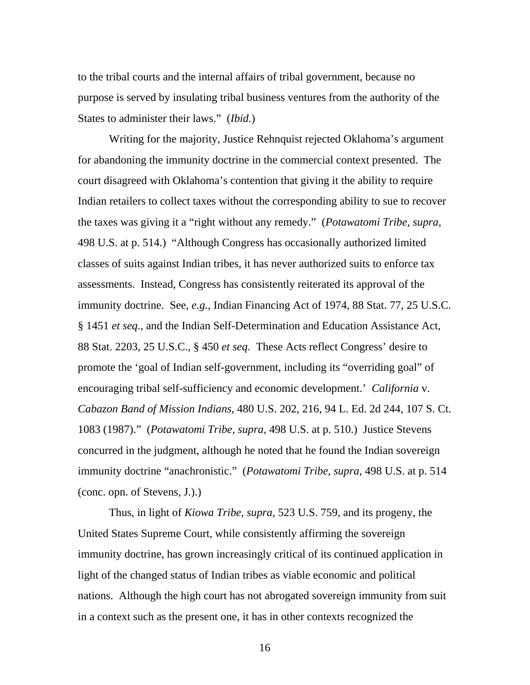to the tribal courts and the internal affairs of tribal government, because no purpose is served by insulating tribal business ventures from the authority of the States to administer their laws." (*Ibid.*)

Writing for the majority, Justice Rehnquist rejected Oklahoma's argument for abandoning the immunity doctrine in the commercial context presented. The court disagreed with Oklahoma's contention that giving it the ability to require Indian retailers to collect taxes without the corresponding ability to sue to recover the taxes was giving it a "right without any remedy." (*Potawatomi Tribe, supra,*  498 U.S. at p. 514.) "Although Congress has occasionally authorized limited classes of suits against Indian tribes, it has never authorized suits to enforce tax assessments. Instead, Congress has consistently reiterated its approval of the immunity doctrine. See, *e.g.*, Indian Financing Act of 1974, 88 Stat. 77, 25 U.S.C. § 1451 *et seq*., and the Indian Self-Determination and Education Assistance Act, 88 Stat. 2203, 25 U.S.C., § 450 *et seq*. These Acts reflect Congress' desire to promote the 'goal of Indian self-government, including its "overriding goal" of encouraging tribal self-sufficiency and economic development.' *California* v. *Cabazon Band of Mission Indians*, 480 U.S. 202, 216, 94 L. Ed. 2d 244, 107 S. Ct. 1083 (1987)." (*Potawatomi Tribe, supra*, 498 U.S. at p. 510.) Justice Stevens concurred in the judgment, although he noted that he found the Indian sovereign immunity doctrine "anachronistic." (*Potawatomi Tribe, supra,* 498 U.S. at p. 514 (conc. opn. of Stevens, J.).)

Thus, in light of *Kiowa Tribe, supra,* 523 U.S. 759, and its progeny, the United States Supreme Court, while consistently affirming the sovereign immunity doctrine, has grown increasingly critical of its continued application in light of the changed status of Indian tribes as viable economic and political nations. Although the high court has not abrogated sovereign immunity from suit in a context such as the present one, it has in other contexts recognized the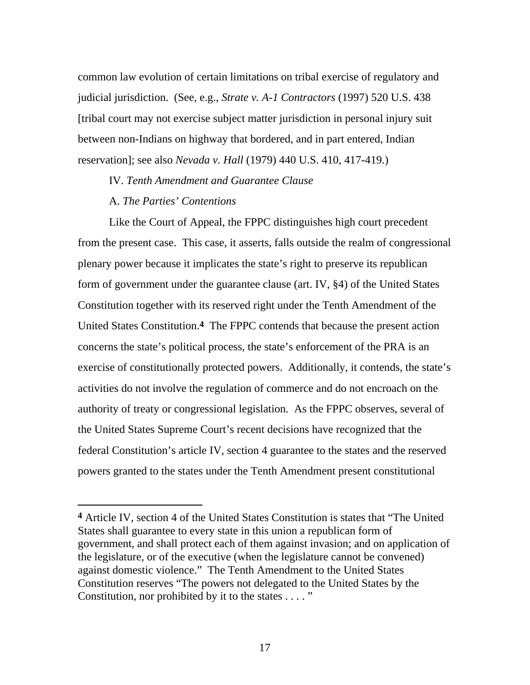common law evolution of certain limitations on tribal exercise of regulatory and judicial jurisdiction. (See, e.g., *Strate v. A-1 Contractors* (1997) 520 U.S. 438 [tribal court may not exercise subject matter jurisdiction in personal injury suit between non-Indians on highway that bordered, and in part entered, Indian reservation]; see also *Nevada v. Hall* (1979) 440 U.S. 410, 417-419.)

IV. *Tenth Amendment and Guarantee Clause* 

A. *The Parties' Contentions* 

Like the Court of Appeal, the FPPC distinguishes high court precedent from the present case. This case, it asserts, falls outside the realm of congressional plenary power because it implicates the state's right to preserve its republican form of government under the guarantee clause (art. IV, §4) of the United States Constitution together with its reserved right under the Tenth Amendment of the United States Constitution.**4** The FPPC contends that because the present action concerns the state's political process, the state's enforcement of the PRA is an exercise of constitutionally protected powers. Additionally, it contends, the state's activities do not involve the regulation of commerce and do not encroach on the authority of treaty or congressional legislation. As the FPPC observes, several of the United States Supreme Court's recent decisions have recognized that the federal Constitution's article IV, section 4 guarantee to the states and the reserved powers granted to the states under the Tenth Amendment present constitutional

**<sup>4</sup>** Article IV, section 4 of the United States Constitution is states that "The United States shall guarantee to every state in this union a republican form of government, and shall protect each of them against invasion; and on application of the legislature, or of the executive (when the legislature cannot be convened) against domestic violence." The Tenth Amendment to the United States Constitution reserves "The powers not delegated to the United States by the Constitution, nor prohibited by it to the states  $\dots$ ."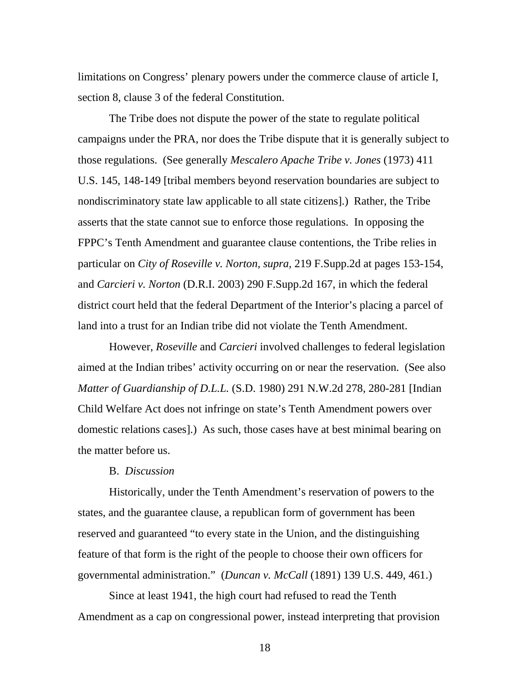limitations on Congress' plenary powers under the commerce clause of article I, section 8, clause 3 of the federal Constitution.

The Tribe does not dispute the power of the state to regulate political campaigns under the PRA, nor does the Tribe dispute that it is generally subject to those regulations. (See generally *Mescalero Apache Tribe v. Jones* (1973) 411 U.S. 145, 148-149 [tribal members beyond reservation boundaries are subject to nondiscriminatory state law applicable to all state citizens].) Rather, the Tribe asserts that the state cannot sue to enforce those regulations. In opposing the FPPC's Tenth Amendment and guarantee clause contentions, the Tribe relies in particular on *City of Roseville v. Norton, supra,* 219 F.Supp.2d at pages 153-154, and *Carcieri v. Norton* (D.R.I. 2003) 290 F.Supp.2d 167, in which the federal district court held that the federal Department of the Interior's placing a parcel of land into a trust for an Indian tribe did not violate the Tenth Amendment.

However, *Roseville* and *Carcieri* involved challenges to federal legislation aimed at the Indian tribes' activity occurring on or near the reservation. (See also *Matter of Guardianship of D.L.L.* (S.D. 1980) 291 N.W.2d 278, 280-281 [Indian Child Welfare Act does not infringe on state's Tenth Amendment powers over domestic relations cases].) As such, those cases have at best minimal bearing on the matter before us.

# B. *Discussion*

Historically, under the Tenth Amendment's reservation of powers to the states, and the guarantee clause, a republican form of government has been reserved and guaranteed "to every state in the Union, and the distinguishing feature of that form is the right of the people to choose their own officers for governmental administration." (*Duncan v. McCall* (1891) 139 U.S. 449, 461.)

Since at least 1941, the high court had refused to read the Tenth Amendment as a cap on congressional power, instead interpreting that provision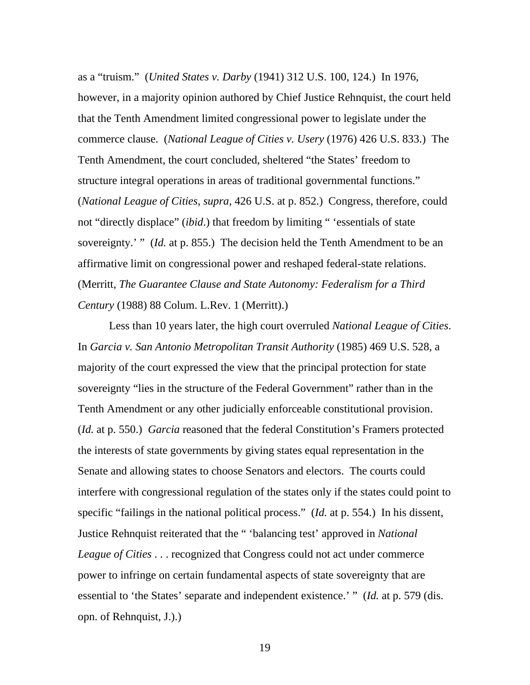as a "truism." (*United States v. Darby* (1941) 312 U.S. 100, 124.) In 1976, however, in a majority opinion authored by Chief Justice Rehnquist, the court held that the Tenth Amendment limited congressional power to legislate under the commerce clause. (*National League of Cities v. Usery* (1976) 426 U.S. 833.) The Tenth Amendment, the court concluded, sheltered "the States' freedom to structure integral operations in areas of traditional governmental functions." (*National League of Cities, supra,* 426 U.S. at p. 852.) Congress, therefore, could not "directly displace" (*ibid*.) that freedom by limiting " 'essentials of state sovereignty.' " (*Id.* at p. 855.) The decision held the Tenth Amendment to be an affirmative limit on congressional power and reshaped federal-state relations. (Merritt, *The Guarantee Clause and State Autonomy: Federalism for a Third Century* (1988) 88 Colum. L.Rev. 1 (Merritt).)

Less than 10 years later, the high court overruled *National League of Cities*. In *Garcia v. San Antonio Metropolitan Transit Authority* (1985) 469 U.S. 528, a majority of the court expressed the view that the principal protection for state sovereignty "lies in the structure of the Federal Government" rather than in the Tenth Amendment or any other judicially enforceable constitutional provision. (*Id.* at p. 550.) *Garcia* reasoned that the federal Constitution's Framers protected the interests of state governments by giving states equal representation in the Senate and allowing states to choose Senators and electors. The courts could interfere with congressional regulation of the states only if the states could point to specific "failings in the national political process." (*Id.* at p. 554.) In his dissent, Justice Rehnquist reiterated that the " 'balancing test' approved in *National League of Cities* . . . recognized that Congress could not act under commerce power to infringe on certain fundamental aspects of state sovereignty that are essential to 'the States' separate and independent existence.' " (*Id.* at p. 579 (dis. opn. of Rehnquist, J.).)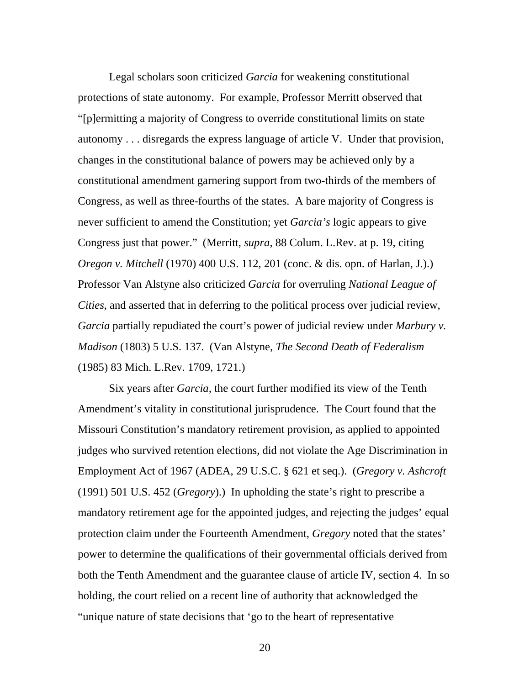Legal scholars soon criticized *Garcia* for weakening constitutional protections of state autonomy. For example, Professor Merritt observed that "[p]ermitting a majority of Congress to override constitutional limits on state autonomy . . . disregards the express language of article V. Under that provision, changes in the constitutional balance of powers may be achieved only by a constitutional amendment garnering support from two-thirds of the members of Congress, as well as three-fourths of the states. A bare majority of Congress is never sufficient to amend the Constitution; yet *Garcia's* logic appears to give Congress just that power." (Merritt, *supra*, 88 Colum. L.Rev. at p. 19, citing *Oregon v. Mitchell* (1970) 400 U.S. 112, 201 (conc. & dis. opn. of Harlan, J.).) Professor Van Alstyne also criticized *Garcia* for overruling *National League of Cities*, and asserted that in deferring to the political process over judicial review, *Garcia* partially repudiated the court's power of judicial review under *Marbury v. Madison* (1803) 5 U.S. 137. (Van Alstyne, *The Second Death of Federalism*  (1985) 83 Mich. L.Rev. 1709, 1721.)

Six years after *Garcia,* the court further modified its view of the Tenth Amendment's vitality in constitutional jurisprudence. The Court found that the Missouri Constitution's mandatory retirement provision, as applied to appointed judges who survived retention elections, did not violate the Age Discrimination in Employment Act of 1967 (ADEA, 29 U.S.C. § 621 et seq.). (*Gregory v. Ashcroft*  (1991) 501 U.S. 452 (*Gregory*).) In upholding the state's right to prescribe a mandatory retirement age for the appointed judges, and rejecting the judges' equal protection claim under the Fourteenth Amendment, *Gregory* noted that the states' power to determine the qualifications of their governmental officials derived from both the Tenth Amendment and the guarantee clause of article IV, section 4. In so holding, the court relied on a recent line of authority that acknowledged the "unique nature of state decisions that 'go to the heart of representative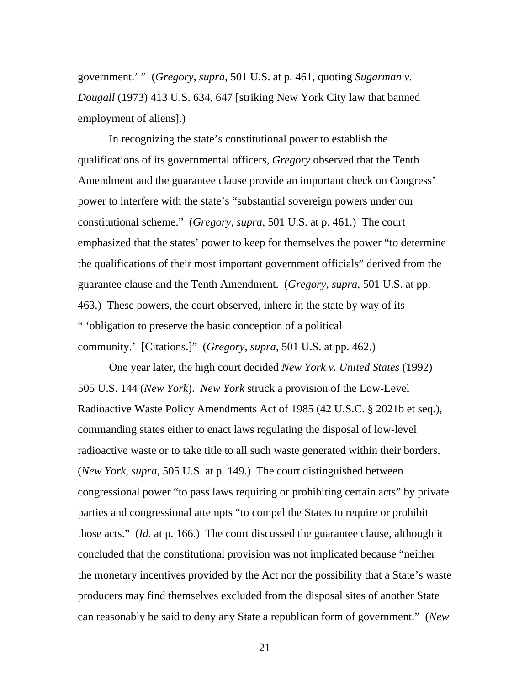government.' " (*Gregory, supra,* 501 U.S. at p. 461, quoting *Sugarman v. Dougall* (1973) 413 U.S. 634, 647 [striking New York City law that banned employment of aliens].)

In recognizing the state's constitutional power to establish the qualifications of its governmental officers, *Gregory* observed that the Tenth Amendment and the guarantee clause provide an important check on Congress' power to interfere with the state's "substantial sovereign powers under our constitutional scheme." (*Gregory, supra,* 501 U.S. at p. 461.) The court emphasized that the states' power to keep for themselves the power "to determine the qualifications of their most important government officials" derived from the guarantee clause and the Tenth Amendment. (*Gregory, supra,* 501 U.S. at pp. 463.) These powers, the court observed, inhere in the state by way of its " 'obligation to preserve the basic conception of a political community.' [Citations.]" (*Gregory, supra,* 501 U.S. at pp. 462.)

One year later, the high court decided *New York v. United States* (1992) 505 U.S. 144 (*New York*). *New York* struck a provision of the Low-Level Radioactive Waste Policy Amendments Act of 1985 (42 U.S.C. § 2021b et seq.), commanding states either to enact laws regulating the disposal of low-level radioactive waste or to take title to all such waste generated within their borders. (*New York*, *supra,* 505 U.S. at p. 149.) The court distinguished between congressional power "to pass laws requiring or prohibiting certain acts" by private parties and congressional attempts "to compel the States to require or prohibit those acts." (*Id.* at p. 166.) The court discussed the guarantee clause, although it concluded that the constitutional provision was not implicated because "neither the monetary incentives provided by the Act nor the possibility that a State's waste producers may find themselves excluded from the disposal sites of another State can reasonably be said to deny any State a republican form of government." (*New*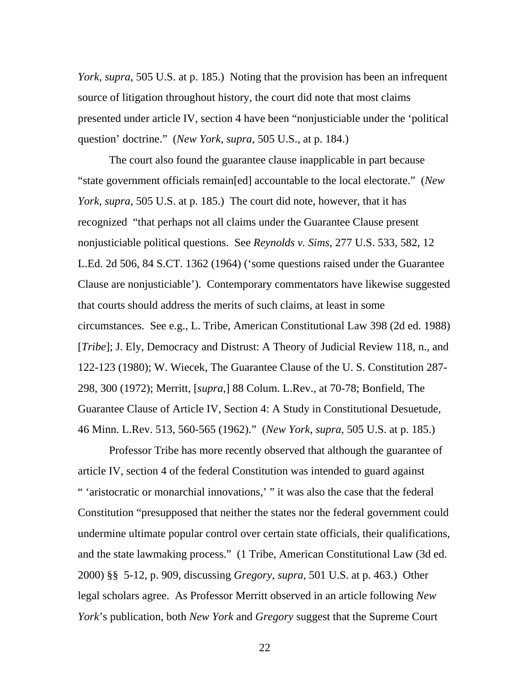*York, supra,* 505 U.S. at p. 185.) Noting that the provision has been an infrequent source of litigation throughout history, the court did note that most claims presented under article IV, section 4 have been "nonjusticiable under the 'political question' doctrine." (*New York, supra,* 505 U.S., at p. 184.)

The court also found the guarantee clause inapplicable in part because "state government officials remain[ed] accountable to the local electorate." (*New York*, *supra*, 505 U.S. at p. 185.) The court did note, however, that it has recognized "that perhaps not all claims under the Guarantee Clause present nonjusticiable political questions. See *Reynolds v. Sims,* 277 U.S. 533, 582, 12 L.Ed. 2d 506, 84 S.CT. 1362 (1964) ('some questions raised under the Guarantee Clause are nonjusticiable'). Contemporary commentators have likewise suggested that courts should address the merits of such claims, at least in some circumstances. See e.g., L. Tribe, American Constitutional Law 398 (2d ed. 1988) [*Tribe*]; J. Ely, Democracy and Distrust: A Theory of Judicial Review 118, n., and 122-123 (1980); W. Wiecek, The Guarantee Clause of the U. S. Constitution 287- 298, 300 (1972); Merritt, [*supra*,] 88 Colum. L.Rev., at 70-78; Bonfield, The Guarantee Clause of Article IV, Section 4: A Study in Constitutional Desuetude, 46 Minn. L.Rev. 513, 560-565 (1962)." (*New York, supra,* 505 U.S. at p. 185.)

Professor Tribe has more recently observed that although the guarantee of article IV, section 4 of the federal Constitution was intended to guard against " 'aristocratic or monarchial innovations,' " it was also the case that the federal Constitution "presupposed that neither the states nor the federal government could undermine ultimate popular control over certain state officials, their qualifications, and the state lawmaking process." (1 Tribe, American Constitutional Law (3d ed. 2000) §§ 5-12, p. 909, discussing *Gregory, supra,* 501 U.S. at p. 463.) Other legal scholars agree. As Professor Merritt observed in an article following *New York*'s publication*,* both *New York* and *Gregory* suggest that the Supreme Court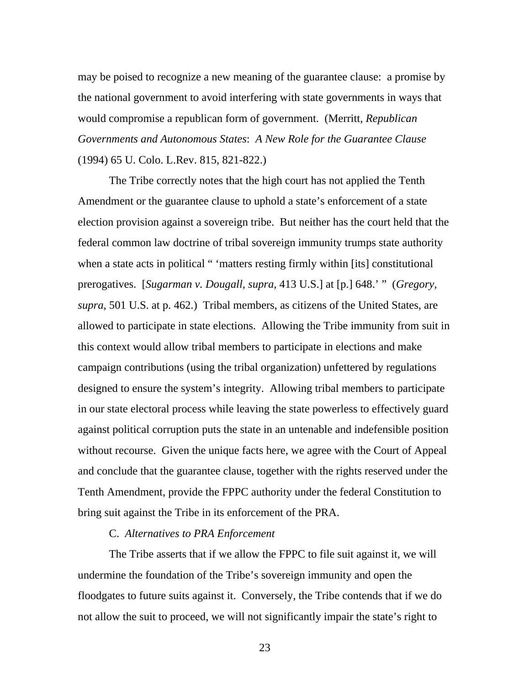may be poised to recognize a new meaning of the guarantee clause: a promise by the national government to avoid interfering with state governments in ways that would compromise a republican form of government. (Merritt, *Republican Governments and Autonomous States*: *A New Role for the Guarantee Clause*  (1994) 65 U. Colo. L.Rev. 815, 821-822.)

The Tribe correctly notes that the high court has not applied the Tenth Amendment or the guarantee clause to uphold a state's enforcement of a state election provision against a sovereign tribe. But neither has the court held that the federal common law doctrine of tribal sovereign immunity trumps state authority when a state acts in political " 'matters resting firmly within [its] constitutional prerogatives. [*Sugarman v. Dougall*, *supra*, 413 U.S.] at [p.] 648.' " (*Gregory, supra,* 501 U.S. at p. 462.) Tribal members, as citizens of the United States, are allowed to participate in state elections. Allowing the Tribe immunity from suit in this context would allow tribal members to participate in elections and make campaign contributions (using the tribal organization) unfettered by regulations designed to ensure the system's integrity. Allowing tribal members to participate in our state electoral process while leaving the state powerless to effectively guard against political corruption puts the state in an untenable and indefensible position without recourse. Given the unique facts here, we agree with the Court of Appeal and conclude that the guarantee clause, together with the rights reserved under the Tenth Amendment, provide the FPPC authority under the federal Constitution to bring suit against the Tribe in its enforcement of the PRA.

# C. *Alternatives to PRA Enforcement*

The Tribe asserts that if we allow the FPPC to file suit against it, we will undermine the foundation of the Tribe's sovereign immunity and open the floodgates to future suits against it. Conversely, the Tribe contends that if we do not allow the suit to proceed, we will not significantly impair the state's right to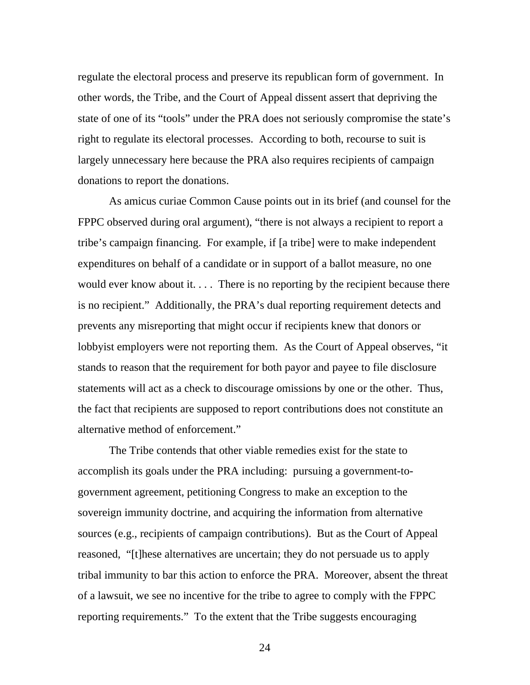regulate the electoral process and preserve its republican form of government. In other words, the Tribe, and the Court of Appeal dissent assert that depriving the state of one of its "tools" under the PRA does not seriously compromise the state's right to regulate its electoral processes. According to both, recourse to suit is largely unnecessary here because the PRA also requires recipients of campaign donations to report the donations.

As amicus curiae Common Cause points out in its brief (and counsel for the FPPC observed during oral argument), "there is not always a recipient to report a tribe's campaign financing. For example, if [a tribe] were to make independent expenditures on behalf of a candidate or in support of a ballot measure, no one would ever know about it. . . . There is no reporting by the recipient because there is no recipient." Additionally, the PRA's dual reporting requirement detects and prevents any misreporting that might occur if recipients knew that donors or lobbyist employers were not reporting them. As the Court of Appeal observes, "it stands to reason that the requirement for both payor and payee to file disclosure statements will act as a check to discourage omissions by one or the other. Thus, the fact that recipients are supposed to report contributions does not constitute an alternative method of enforcement."

The Tribe contends that other viable remedies exist for the state to accomplish its goals under the PRA including: pursuing a government-togovernment agreement, petitioning Congress to make an exception to the sovereign immunity doctrine, and acquiring the information from alternative sources (e.g., recipients of campaign contributions). But as the Court of Appeal reasoned, "[t]hese alternatives are uncertain; they do not persuade us to apply tribal immunity to bar this action to enforce the PRA. Moreover, absent the threat of a lawsuit, we see no incentive for the tribe to agree to comply with the FPPC reporting requirements." To the extent that the Tribe suggests encouraging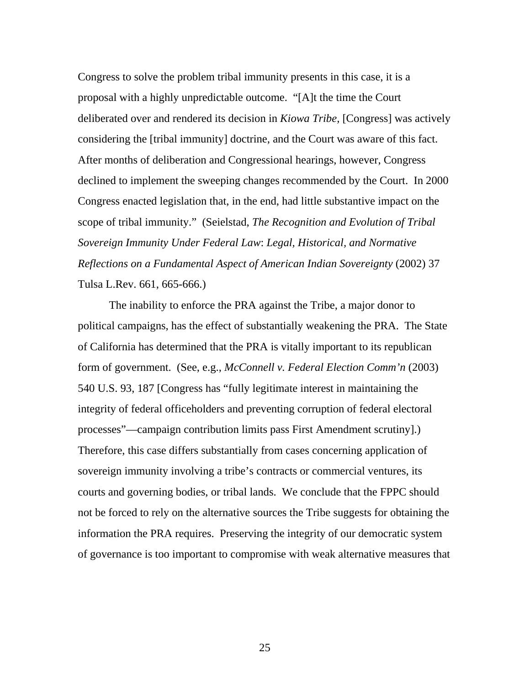Congress to solve the problem tribal immunity presents in this case, it is a proposal with a highly unpredictable outcome. "[A]t the time the Court deliberated over and rendered its decision in *Kiowa Tribe,* [Congress] was actively considering the [tribal immunity] doctrine, and the Court was aware of this fact. After months of deliberation and Congressional hearings, however, Congress declined to implement the sweeping changes recommended by the Court. In 2000 Congress enacted legislation that, in the end, had little substantive impact on the scope of tribal immunity." (Seielstad, *The Recognition and Evolution of Tribal Sovereign Immunity Under Federal Law*: *Legal, Historical, and Normative Reflections on a Fundamental Aspect of American Indian Sovereignty* (2002) 37 Tulsa L.Rev. 661, 665-666.)

The inability to enforce the PRA against the Tribe, a major donor to political campaigns, has the effect of substantially weakening the PRA. The State of California has determined that the PRA is vitally important to its republican form of government. (See, e.g., *McConnell v. Federal Election Comm'n* (2003) 540 U.S. 93, 187 [Congress has "fully legitimate interest in maintaining the integrity of federal officeholders and preventing corruption of federal electoral processes"—campaign contribution limits pass First Amendment scrutiny].) Therefore, this case differs substantially from cases concerning application of sovereign immunity involving a tribe's contracts or commercial ventures, its courts and governing bodies, or tribal lands. We conclude that the FPPC should not be forced to rely on the alternative sources the Tribe suggests for obtaining the information the PRA requires. Preserving the integrity of our democratic system of governance is too important to compromise with weak alternative measures that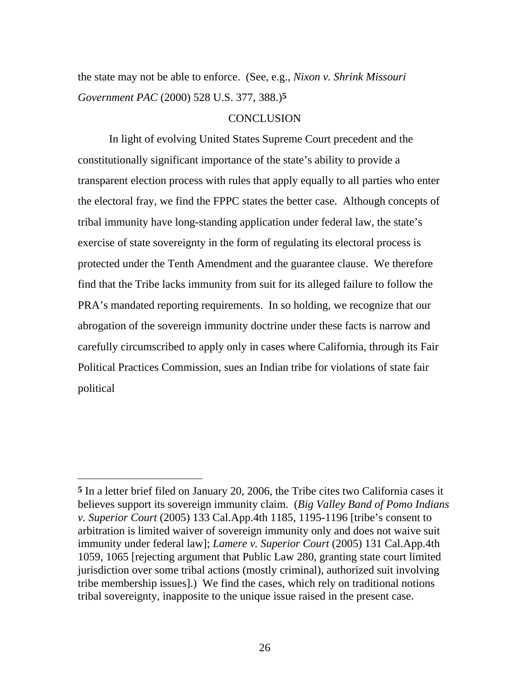the state may not be able to enforce. (See, e.g., *Nixon v. Shrink Missouri Government PAC* (2000) 528 U.S. 377, 388.)**5**

# **CONCLUSION**

In light of evolving United States Supreme Court precedent and the constitutionally significant importance of the state's ability to provide a transparent election process with rules that apply equally to all parties who enter the electoral fray, we find the FPPC states the better case. Although concepts of tribal immunity have long-standing application under federal law, the state's exercise of state sovereignty in the form of regulating its electoral process is protected under the Tenth Amendment and the guarantee clause. We therefore find that the Tribe lacks immunity from suit for its alleged failure to follow the PRA's mandated reporting requirements. In so holding, we recognize that our abrogation of the sovereign immunity doctrine under these facts is narrow and carefully circumscribed to apply only in cases where California, through its Fair Political Practices Commission, sues an Indian tribe for violations of state fair political

 $\overline{a}$ 

**<sup>5</sup>** In a letter brief filed on January 20, 2006, the Tribe cites two California cases it believes support its sovereign immunity claim. (*Big Valley Band of Pomo Indians v. Superior Court* (2005) 133 Cal.App.4th 1185, 1195-1196 [tribe's consent to arbitration is limited waiver of sovereign immunity only and does not waive suit immunity under federal law]; *Lamere v. Superior Court* (2005) 131 Cal.App.4th 1059, 1065 [rejecting argument that Public Law 280, granting state court limited jurisdiction over some tribal actions (mostly criminal), authorized suit involving tribe membership issues].) We find the cases, which rely on traditional notions tribal sovereignty, inapposite to the unique issue raised in the present case.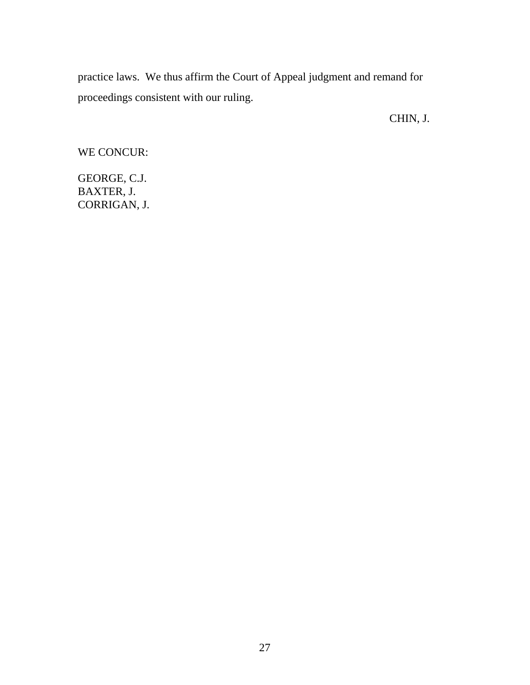practice laws. We thus affirm the Court of Appeal judgment and remand for proceedings consistent with our ruling.

CHIN, J.

WE CONCUR:

GEORGE, C.J. BAXTER, J. CORRIGAN, J.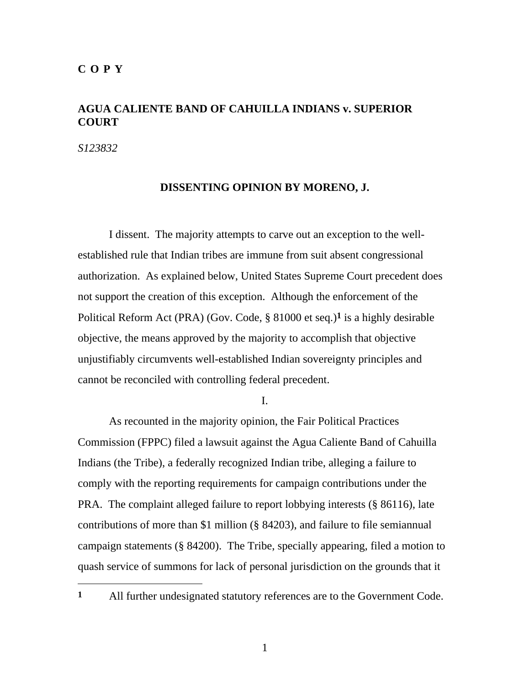# **AGUA CALIENTE BAND OF CAHUILLA INDIANS v. SUPERIOR COURT**

*S123832* 

 $\overline{a}$ 

# **DISSENTING OPINION BY MORENO, J.**

I dissent. The majority attempts to carve out an exception to the wellestablished rule that Indian tribes are immune from suit absent congressional authorization. As explained below, United States Supreme Court precedent does not support the creation of this exception. Although the enforcement of the Political Reform Act (PRA) (Gov. Code, § 81000 et seq.)**1** is a highly desirable objective, the means approved by the majority to accomplish that objective unjustifiably circumvents well-established Indian sovereignty principles and cannot be reconciled with controlling federal precedent.

I.

As recounted in the majority opinion, the Fair Political Practices Commission (FPPC) filed a lawsuit against the Agua Caliente Band of Cahuilla Indians (the Tribe), a federally recognized Indian tribe, alleging a failure to comply with the reporting requirements for campaign contributions under the PRA. The complaint alleged failure to report lobbying interests (§ 86116), late contributions of more than \$1 million (§ 84203), and failure to file semiannual campaign statements (§ 84200). The Tribe, specially appearing, filed a motion to quash service of summons for lack of personal jurisdiction on the grounds that it

**1** All further undesignated statutory references are to the Government Code.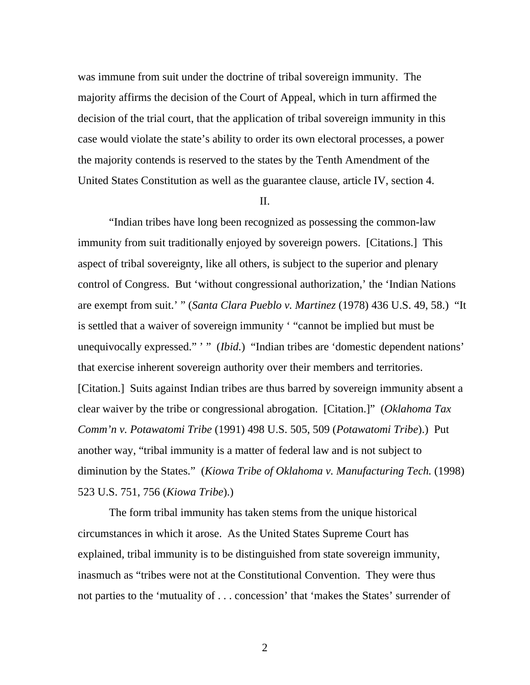was immune from suit under the doctrine of tribal sovereign immunity. The majority affirms the decision of the Court of Appeal, which in turn affirmed the decision of the trial court, that the application of tribal sovereign immunity in this case would violate the state's ability to order its own electoral processes, a power the majority contends is reserved to the states by the Tenth Amendment of the United States Constitution as well as the guarantee clause, article IV, section 4.

# II.

 "Indian tribes have long been recognized as possessing the common-law immunity from suit traditionally enjoyed by sovereign powers. [Citations.] This aspect of tribal sovereignty, like all others, is subject to the superior and plenary control of Congress. But 'without congressional authorization,' the 'Indian Nations are exempt from suit.' " (*Santa Clara Pueblo v. Martinez* (1978) 436 U.S. 49, 58.) "It is settled that a waiver of sovereign immunity ' "cannot be implied but must be unequivocally expressed." " " (*Ibid.*) "Indian tribes are 'domestic dependent nations' that exercise inherent sovereign authority over their members and territories. [Citation.] Suits against Indian tribes are thus barred by sovereign immunity absent a clear waiver by the tribe or congressional abrogation. [Citation.]" (*Oklahoma Tax Comm'n v. Potawatomi Tribe* (1991) 498 U.S. 505, 509 (*Potawatomi Tribe*).) Put another way, "tribal immunity is a matter of federal law and is not subject to diminution by the States." (*Kiowa Tribe of Oklahoma v. Manufacturing Tech.* (1998) 523 U.S. 751, 756 (*Kiowa Tribe*).)

 The form tribal immunity has taken stems from the unique historical circumstances in which it arose. As the United States Supreme Court has explained, tribal immunity is to be distinguished from state sovereign immunity, inasmuch as "tribes were not at the Constitutional Convention. They were thus not parties to the 'mutuality of . . . concession' that 'makes the States' surrender of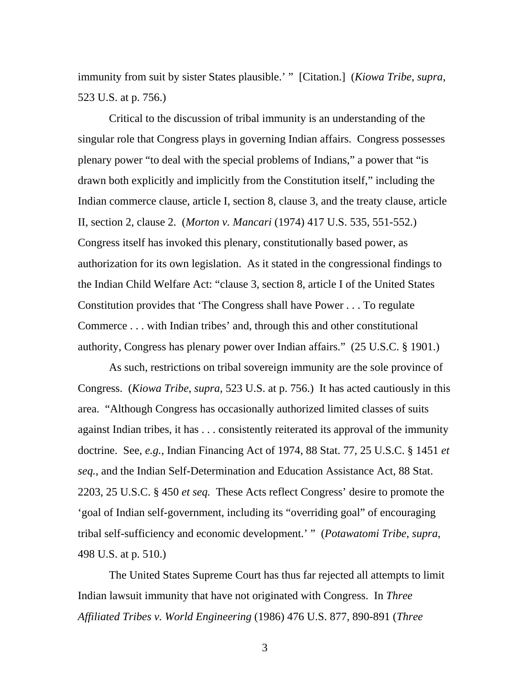immunity from suit by sister States plausible.' " [Citation.] (*Kiowa Tribe*, *supra*, 523 U.S. at p. 756.)

Critical to the discussion of tribal immunity is an understanding of the singular role that Congress plays in governing Indian affairs. Congress possesses plenary power "to deal with the special problems of Indians," a power that "is drawn both explicitly and implicitly from the Constitution itself," including the Indian commerce clause, article I, section 8, clause 3, and the treaty clause, article II, section 2, clause 2. (*Morton v. Mancari* (1974) 417 U.S. 535, 551-552.) Congress itself has invoked this plenary, constitutionally based power, as authorization for its own legislation. As it stated in the congressional findings to the Indian Child Welfare Act: "clause 3, section 8, article I of the United States Constitution provides that 'The Congress shall have Power . . . To regulate Commerce . . . with Indian tribes' and, through this and other constitutional authority, Congress has plenary power over Indian affairs." (25 U.S.C. § 1901.)

As such, restrictions on tribal sovereign immunity are the sole province of Congress. (*Kiowa Tribe*, *supra*, 523 U.S. at p. 756.) It has acted cautiously in this area. "Although Congress has occasionally authorized limited classes of suits against Indian tribes, it has . . . consistently reiterated its approval of the immunity doctrine. See, *e.g.*, Indian Financing Act of 1974, 88 Stat. 77, 25 U.S.C. § 1451 *et seq.*, and the Indian Self-Determination and Education Assistance Act, 88 Stat. 2203, 25 U.S.C. § 450 *et seq.* These Acts reflect Congress' desire to promote the 'goal of Indian self-government, including its "overriding goal" of encouraging tribal self-sufficiency and economic development.' " (*Potawatomi Tribe*, *supra*, 498 U.S. at p. 510.)

 The United States Supreme Court has thus far rejected all attempts to limit Indian lawsuit immunity that have not originated with Congress. In *Three Affiliated Tribes v. World Engineering* (1986) 476 U.S. 877, 890-891 (*Three*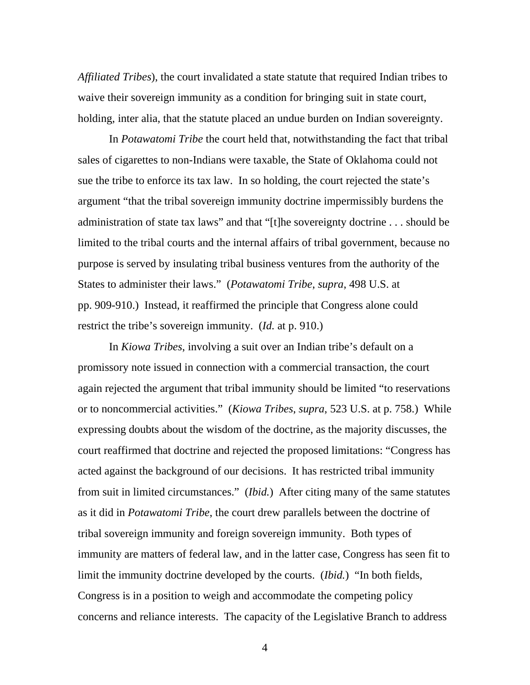*Affiliated Tribes*), the court invalidated a state statute that required Indian tribes to waive their sovereign immunity as a condition for bringing suit in state court, holding, inter alia, that the statute placed an undue burden on Indian sovereignty.

 In *Potawatomi Tribe* the court held that, notwithstanding the fact that tribal sales of cigarettes to non-Indians were taxable, the State of Oklahoma could not sue the tribe to enforce its tax law. In so holding, the court rejected the state's argument "that the tribal sovereign immunity doctrine impermissibly burdens the administration of state tax laws" and that "[t]he sovereignty doctrine . . . should be limited to the tribal courts and the internal affairs of tribal government, because no purpose is served by insulating tribal business ventures from the authority of the States to administer their laws." (*Potawatomi Tribe*, *supra*, 498 U.S. at pp. 909-910.) Instead, it reaffirmed the principle that Congress alone could restrict the tribe's sovereign immunity. (*Id.* at p. 910.)

 In *Kiowa Tribes*, involving a suit over an Indian tribe's default on a promissory note issued in connection with a commercial transaction, the court again rejected the argument that tribal immunity should be limited "to reservations or to noncommercial activities." (*Kiowa Tribes*, *supra*, 523 U.S. at p. 758.) While expressing doubts about the wisdom of the doctrine, as the majority discusses, the court reaffirmed that doctrine and rejected the proposed limitations: "Congress has acted against the background of our decisions. It has restricted tribal immunity from suit in limited circumstances." (*Ibid.*) After citing many of the same statutes as it did in *Potawatomi Tribe*, the court drew parallels between the doctrine of tribal sovereign immunity and foreign sovereign immunity. Both types of immunity are matters of federal law, and in the latter case, Congress has seen fit to limit the immunity doctrine developed by the courts. (*Ibid.*) "In both fields, Congress is in a position to weigh and accommodate the competing policy concerns and reliance interests. The capacity of the Legislative Branch to address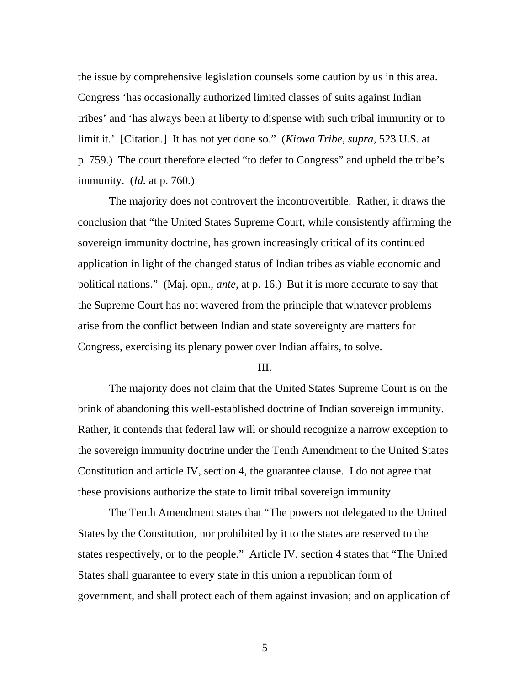the issue by comprehensive legislation counsels some caution by us in this area. Congress 'has occasionally authorized limited classes of suits against Indian tribes' and 'has always been at liberty to dispense with such tribal immunity or to limit it.' [Citation.] It has not yet done so." (*Kiowa Tribe*, *supra*, 523 U.S. at p. 759.) The court therefore elected "to defer to Congress" and upheld the tribe's immunity. (*Id.* at p. 760.)

 The majority does not controvert the incontrovertible. Rather, it draws the conclusion that "the United States Supreme Court, while consistently affirming the sovereign immunity doctrine, has grown increasingly critical of its continued application in light of the changed status of Indian tribes as viable economic and political nations." (Maj. opn., *ante*, at p. 16.) But it is more accurate to say that the Supreme Court has not wavered from the principle that whatever problems arise from the conflict between Indian and state sovereignty are matters for Congress, exercising its plenary power over Indian affairs, to solve.

#### III.

 The majority does not claim that the United States Supreme Court is on the brink of abandoning this well-established doctrine of Indian sovereign immunity. Rather, it contends that federal law will or should recognize a narrow exception to the sovereign immunity doctrine under the Tenth Amendment to the United States Constitution and article IV, section 4, the guarantee clause. I do not agree that these provisions authorize the state to limit tribal sovereign immunity.

 The Tenth Amendment states that "The powers not delegated to the United States by the Constitution, nor prohibited by it to the states are reserved to the states respectively, or to the people." Article IV, section 4 states that "The United States shall guarantee to every state in this union a republican form of government, and shall protect each of them against invasion; and on application of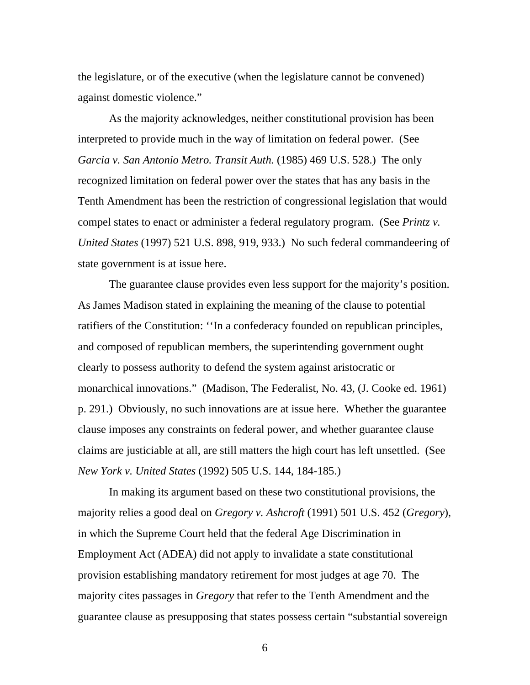the legislature, or of the executive (when the legislature cannot be convened) against domestic violence."

 As the majority acknowledges, neither constitutional provision has been interpreted to provide much in the way of limitation on federal power. (See *Garcia v. San Antonio Metro. Transit Auth.* (1985) 469 U.S. 528.) The only recognized limitation on federal power over the states that has any basis in the Tenth Amendment has been the restriction of congressional legislation that would compel states to enact or administer a federal regulatory program. (See *Printz v. United States* (1997) 521 U.S. 898, 919, 933.) No such federal commandeering of state government is at issue here.

 The guarantee clause provides even less support for the majority's position. As James Madison stated in explaining the meaning of the clause to potential ratifiers of the Constitution: ''In a confederacy founded on republican principles, and composed of republican members, the superintending government ought clearly to possess authority to defend the system against aristocratic or monarchical innovations." (Madison, The Federalist, No. 43, (J. Cooke ed. 1961) p. 291.) Obviously, no such innovations are at issue here. Whether the guarantee clause imposes any constraints on federal power, and whether guarantee clause claims are justiciable at all, are still matters the high court has left unsettled. (See *New York v. United States* (1992) 505 U.S. 144, 184-185.)

 In making its argument based on these two constitutional provisions, the majority relies a good deal on *Gregory v. Ashcroft* (1991) 501 U.S. 452 (*Gregory*), in which the Supreme Court held that the federal Age Discrimination in Employment Act (ADEA) did not apply to invalidate a state constitutional provision establishing mandatory retirement for most judges at age 70. The majority cites passages in *Gregory* that refer to the Tenth Amendment and the guarantee clause as presupposing that states possess certain "substantial sovereign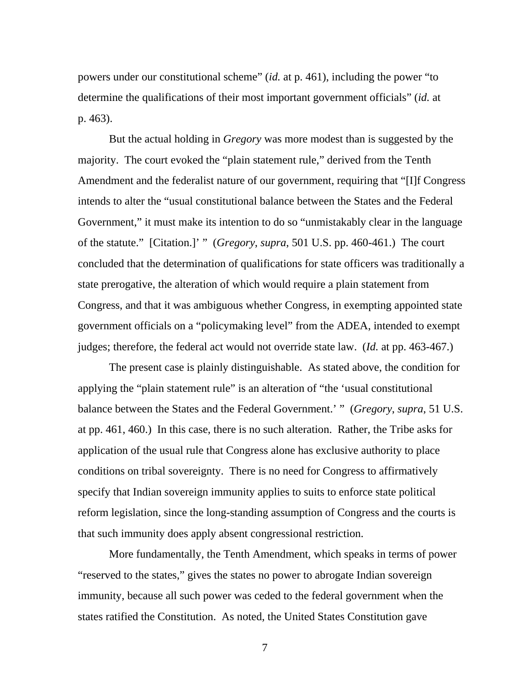powers under our constitutional scheme" (*id.* at p. 461), including the power "to determine the qualifications of their most important government officials" (*id.* at p. 463).

But the actual holding in *Gregory* was more modest than is suggested by the majority. The court evoked the "plain statement rule," derived from the Tenth Amendment and the federalist nature of our government, requiring that "[I]f Congress intends to alter the "usual constitutional balance between the States and the Federal Government," it must make its intention to do so "unmistakably clear in the language of the statute." [Citation.]' " (*Gregory*, *supra*, 501 U.S. pp. 460-461.) The court concluded that the determination of qualifications for state officers was traditionally a state prerogative, the alteration of which would require a plain statement from Congress, and that it was ambiguous whether Congress, in exempting appointed state government officials on a "policymaking level" from the ADEA, intended to exempt judges; therefore, the federal act would not override state law. (*Id.* at pp. 463-467.)

 The present case is plainly distinguishable. As stated above, the condition for applying the "plain statement rule" is an alteration of "the 'usual constitutional balance between the States and the Federal Government.' " (*Gregory*, *supra*, 51 U.S. at pp. 461, 460.) In this case, there is no such alteration. Rather, the Tribe asks for application of the usual rule that Congress alone has exclusive authority to place conditions on tribal sovereignty. There is no need for Congress to affirmatively specify that Indian sovereign immunity applies to suits to enforce state political reform legislation, since the long-standing assumption of Congress and the courts is that such immunity does apply absent congressional restriction.

 More fundamentally, the Tenth Amendment, which speaks in terms of power "reserved to the states," gives the states no power to abrogate Indian sovereign immunity, because all such power was ceded to the federal government when the states ratified the Constitution. As noted, the United States Constitution gave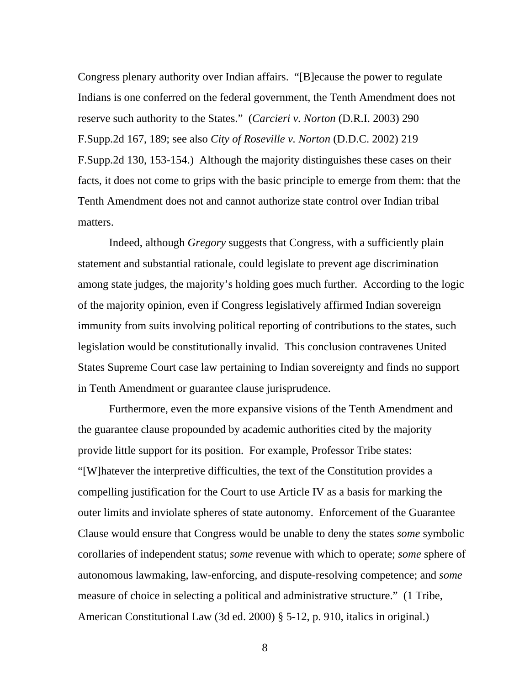Congress plenary authority over Indian affairs. "[B]ecause the power to regulate Indians is one conferred on the federal government, the Tenth Amendment does not reserve such authority to the States." (*Carcieri v. Norton* (D.R.I. 2003) 290 F.Supp.2d 167, 189; see also *City of Roseville v. Norton* (D.D.C. 2002) 219 F.Supp.2d 130, 153-154.) Although the majority distinguishes these cases on their facts, it does not come to grips with the basic principle to emerge from them: that the Tenth Amendment does not and cannot authorize state control over Indian tribal matters.

 Indeed, although *Gregory* suggests that Congress, with a sufficiently plain statement and substantial rationale, could legislate to prevent age discrimination among state judges, the majority's holding goes much further. According to the logic of the majority opinion, even if Congress legislatively affirmed Indian sovereign immunity from suits involving political reporting of contributions to the states, such legislation would be constitutionally invalid. This conclusion contravenes United States Supreme Court case law pertaining to Indian sovereignty and finds no support in Tenth Amendment or guarantee clause jurisprudence.

 Furthermore, even the more expansive visions of the Tenth Amendment and the guarantee clause propounded by academic authorities cited by the majority provide little support for its position. For example, Professor Tribe states: "[W]hatever the interpretive difficulties, the text of the Constitution provides a compelling justification for the Court to use Article IV as a basis for marking the outer limits and inviolate spheres of state autonomy. Enforcement of the Guarantee Clause would ensure that Congress would be unable to deny the states *some* symbolic corollaries of independent status; *some* revenue with which to operate; *some* sphere of autonomous lawmaking, law-enforcing, and dispute-resolving competence; and *some*  measure of choice in selecting a political and administrative structure." (1 Tribe, American Constitutional Law (3d ed. 2000) § 5-12, p. 910, italics in original.)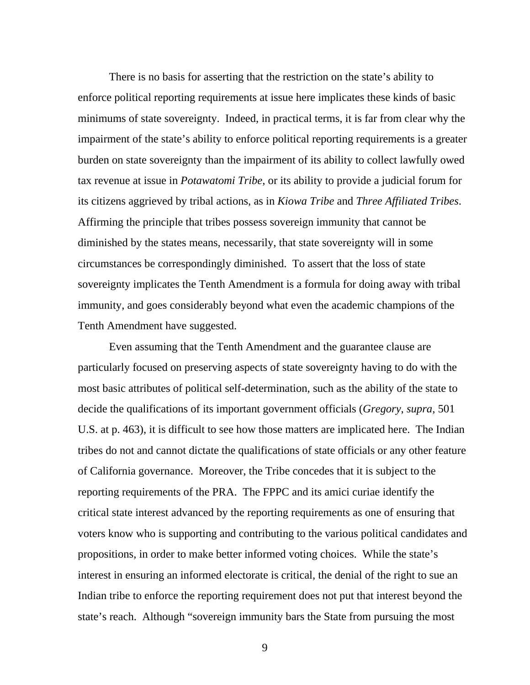There is no basis for asserting that the restriction on the state's ability to enforce political reporting requirements at issue here implicates these kinds of basic minimums of state sovereignty. Indeed, in practical terms, it is far from clear why the impairment of the state's ability to enforce political reporting requirements is a greater burden on state sovereignty than the impairment of its ability to collect lawfully owed tax revenue at issue in *Potawatomi Tribe*, or its ability to provide a judicial forum for its citizens aggrieved by tribal actions, as in *Kiowa Tribe* and *Three Affiliated Tribes*. Affirming the principle that tribes possess sovereign immunity that cannot be diminished by the states means, necessarily, that state sovereignty will in some circumstances be correspondingly diminished. To assert that the loss of state sovereignty implicates the Tenth Amendment is a formula for doing away with tribal immunity, and goes considerably beyond what even the academic champions of the Tenth Amendment have suggested.

Even assuming that the Tenth Amendment and the guarantee clause are particularly focused on preserving aspects of state sovereignty having to do with the most basic attributes of political self-determination, such as the ability of the state to decide the qualifications of its important government officials (*Gregory*, *supra*, 501 U.S. at p. 463), it is difficult to see how those matters are implicated here. The Indian tribes do not and cannot dictate the qualifications of state officials or any other feature of California governance. Moreover, the Tribe concedes that it is subject to the reporting requirements of the PRA. The FPPC and its amici curiae identify the critical state interest advanced by the reporting requirements as one of ensuring that voters know who is supporting and contributing to the various political candidates and propositions, in order to make better informed voting choices. While the state's interest in ensuring an informed electorate is critical, the denial of the right to sue an Indian tribe to enforce the reporting requirement does not put that interest beyond the state's reach. Although "sovereign immunity bars the State from pursuing the most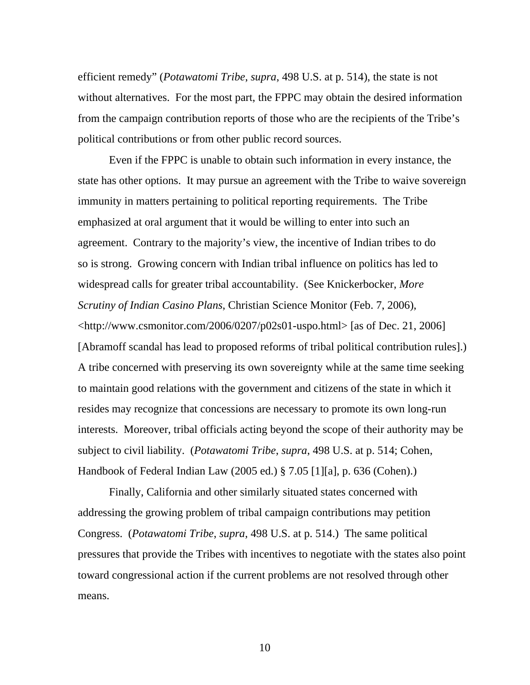efficient remedy" (*Potawatomi Tribe*, *supra*, 498 U.S. at p. 514), the state is not without alternatives. For the most part, the FPPC may obtain the desired information from the campaign contribution reports of those who are the recipients of the Tribe's political contributions or from other public record sources.

Even if the FPPC is unable to obtain such information in every instance, the state has other options. It may pursue an agreement with the Tribe to waive sovereign immunity in matters pertaining to political reporting requirements. The Tribe emphasized at oral argument that it would be willing to enter into such an agreement. Contrary to the majority's view, the incentive of Indian tribes to do so is strong. Growing concern with Indian tribal influence on politics has led to widespread calls for greater tribal accountability. (See Knickerbocker, *More Scrutiny of Indian Casino Plans*, Christian Science Monitor (Feb. 7, 2006),  $\lt$ http://www.csmonitor.com/2006/0207/p02s01-uspo.html> [as of Dec. 21, 2006] [Abramoff scandal has lead to proposed reforms of tribal political contribution rules].) A tribe concerned with preserving its own sovereignty while at the same time seeking to maintain good relations with the government and citizens of the state in which it resides may recognize that concessions are necessary to promote its own long-run interests. Moreover, tribal officials acting beyond the scope of their authority may be subject to civil liability. (*Potawatomi Tribe*, *supra*, 498 U.S. at p. 514; Cohen, Handbook of Federal Indian Law (2005 ed.) § 7.05 [1][a], p. 636 (Cohen).)

Finally, California and other similarly situated states concerned with addressing the growing problem of tribal campaign contributions may petition Congress. (*Potawatomi Tribe*, *supra*, 498 U.S. at p. 514.) The same political pressures that provide the Tribes with incentives to negotiate with the states also point toward congressional action if the current problems are not resolved through other means.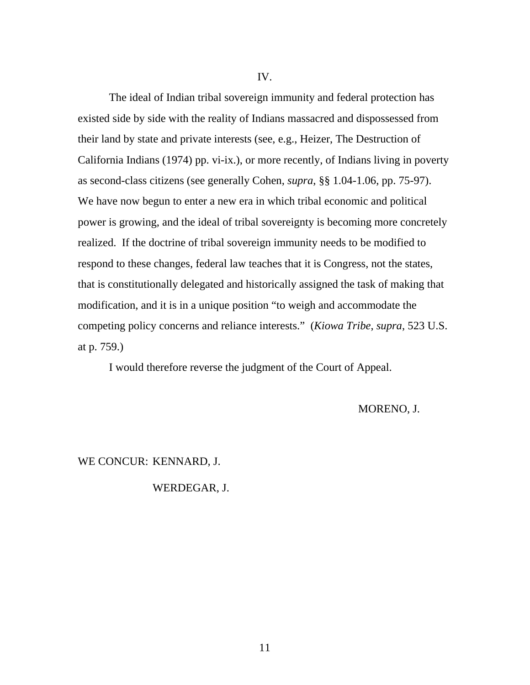IV.

 The ideal of Indian tribal sovereign immunity and federal protection has existed side by side with the reality of Indians massacred and dispossessed from their land by state and private interests (see, e.g., Heizer, The Destruction of California Indians (1974) pp. vi-ix.), or more recently, of Indians living in poverty as second-class citizens (see generally Cohen, *supra*, §§ 1.04-1.06, pp. 75-97). We have now begun to enter a new era in which tribal economic and political power is growing, and the ideal of tribal sovereignty is becoming more concretely realized. If the doctrine of tribal sovereign immunity needs to be modified to respond to these changes, federal law teaches that it is Congress, not the states, that is constitutionally delegated and historically assigned the task of making that modification, and it is in a unique position "to weigh and accommodate the competing policy concerns and reliance interests." (*Kiowa Tribe*, *supra*, 523 U.S. at p. 759.)

I would therefore reverse the judgment of the Court of Appeal.

MORENO, J.

# WE CONCUR: KENNARD, J.

### WERDEGAR, J.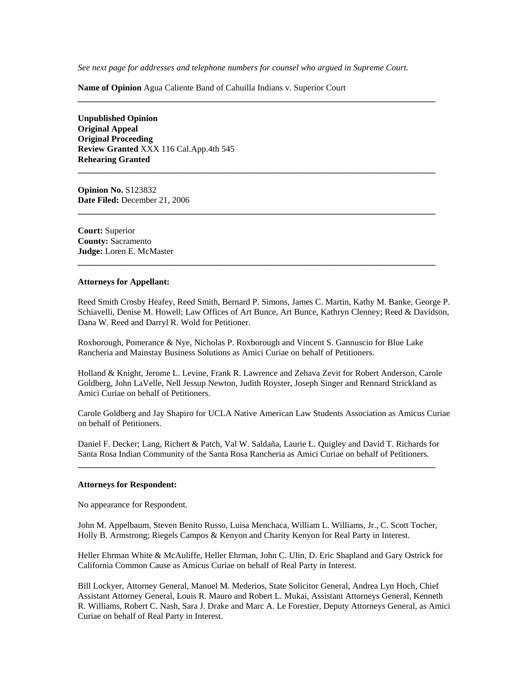*See next page for addresses and telephone numbers for counsel who argued in Supreme Court.* 

**\_\_\_\_\_\_\_\_\_\_\_\_\_\_\_\_\_\_\_\_\_\_\_\_\_\_\_\_\_\_\_\_\_\_\_\_\_\_\_\_\_\_\_\_\_\_\_\_\_\_\_\_\_\_\_\_\_\_\_\_\_\_\_\_\_\_\_\_\_\_\_\_\_\_\_\_\_\_\_\_\_\_** 

**\_\_\_\_\_\_\_\_\_\_\_\_\_\_\_\_\_\_\_\_\_\_\_\_\_\_\_\_\_\_\_\_\_\_\_\_\_\_\_\_\_\_\_\_\_\_\_\_\_\_\_\_\_\_\_\_\_\_\_\_\_\_\_\_\_\_\_\_\_\_\_\_\_\_\_\_\_\_\_\_\_\_** 

**\_\_\_\_\_\_\_\_\_\_\_\_\_\_\_\_\_\_\_\_\_\_\_\_\_\_\_\_\_\_\_\_\_\_\_\_\_\_\_\_\_\_\_\_\_\_\_\_\_\_\_\_\_\_\_\_\_\_\_\_\_\_\_\_\_\_\_\_\_\_\_\_\_\_\_\_\_\_\_\_\_\_** 

**\_\_\_\_\_\_\_\_\_\_\_\_\_\_\_\_\_\_\_\_\_\_\_\_\_\_\_\_\_\_\_\_\_\_\_\_\_\_\_\_\_\_\_\_\_\_\_\_\_\_\_\_\_\_\_\_\_\_\_\_\_\_\_\_\_\_\_\_\_\_\_\_\_\_\_\_\_\_\_\_\_\_** 

**Name of Opinion** Agua Caliente Band of Cahuilla Indians v. Superior Court

**Unpublished Opinion Original Appeal Original Proceeding Review Granted** XXX 116 Cal.App.4th 545 **Rehearing Granted** 

**Opinion No.** S123832 **Date Filed:** December 21, 2006

**Court:** Superior **County:** Sacramento **Judge:** Loren E. McMaster

#### **Attorneys for Appellant:**

Reed Smith Crosby Heafey, Reed Smith, Bernard P. Simons, James C. Martin, Kathy M. Banke, George P. Schiavelli, Denise M. Howell; Law Offices of Art Bunce, Art Bunce, Kathryn Clenney; Reed & Davidson, Dana W. Reed and Darryl R. Wold for Petitioner.

Roxborough, Pomerance & Nye, Nicholas P. Roxborough and Vincent S. Gannuscio for Blue Lake Rancheria and Mainstay Business Solutions as Amici Curiae on behalf of Petitioners.

Holland & Knight, Jerome L. Levine, Frank R. Lawrence and Zehava Zevit for Robert Anderson, Carole Goldberg, John LaVelle, Nell Jessup Newton, Judith Royster, Joseph Singer and Rennard Strickland as Amici Curiae on behalf of Petitioners.

Carole Goldberg and Jay Shapiro for UCLA Native American Law Students Association as Amicus Curiae on behalf of Petitioners.

Daniel F. Decker; Lang, Richert & Patch, Val W. Saldaña, Laurie L. Quigley and David T. Richards for Santa Rosa Indian Community of the Santa Rosa Rancheria as Amici Curiae on behalf of Petitioners. **\_\_\_\_\_\_\_\_\_\_\_\_\_\_\_\_\_\_\_\_\_\_\_\_\_\_\_\_\_\_\_\_\_\_\_\_\_\_\_\_\_\_\_\_\_\_\_\_\_\_\_\_\_\_\_\_\_\_\_\_\_\_\_\_\_\_\_\_\_\_\_\_\_\_\_\_\_\_\_\_\_\_** 

#### **Attorneys for Respondent:**

No appearance for Respondent.

John M. Appelbaum, Steven Benito Russo, Luisa Menchaca, William L. Williams, Jr., C. Scott Tocher, Holly B. Armstrong; Riegels Campos & Kenyon and Charity Kenyon for Real Party in Interest.

Heller Ehrman White & McAuliffe, Heller Ehrman, John C. Ulin, D. Eric Shapland and Gary Ostrick for California Common Cause as Amicus Curiae on behalf of Real Party in Interest.

Bill Lockyer, Attorney General, Manuel M. Mederios, State Solicitor General, Andrea Lyn Hoch, Chief Assistant Attorney General, Louis R. Mauro and Robert L. Mukai, Assistant Attorneys General, Kenneth R. Williams, Robert C. Nash, Sara J. Drake and Marc A. Le Forestier, Deputy Attorneys General, as Amici Curiae on behalf of Real Party in Interest.